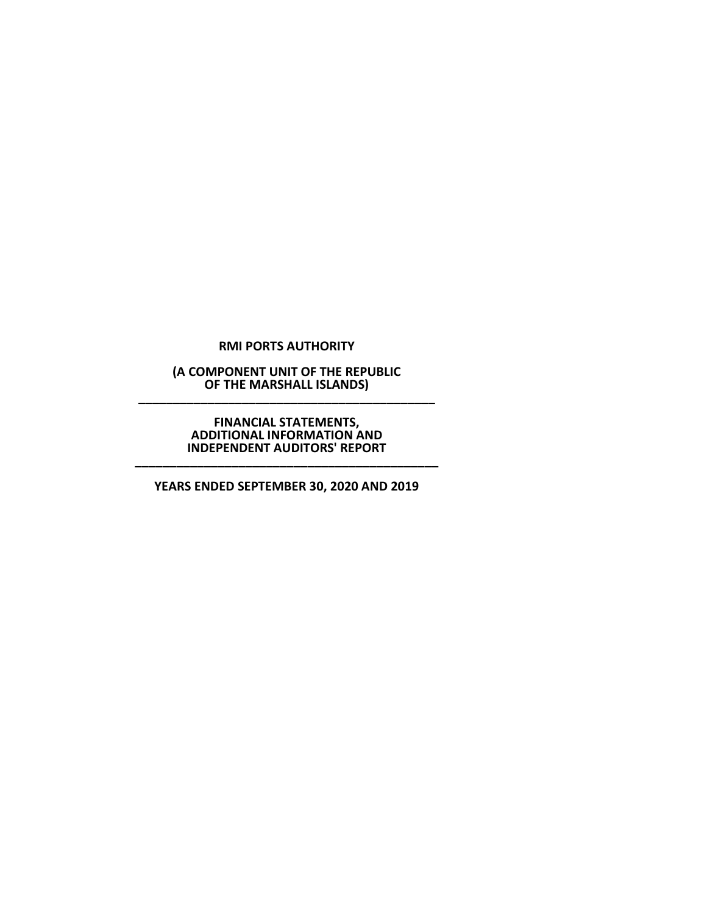#### **RMI PORTS AUTHORITY**

**(A COMPONENT UNIT OF THE REPUBLIC OF THE MARSHALL ISLANDS) \_\_\_\_\_\_\_\_\_\_\_\_\_\_\_\_\_\_\_\_\_\_\_\_\_\_\_\_\_\_\_\_\_\_\_\_\_\_\_\_\_\_\_**

# **FINANCIAL STATEMENTS, ADDITIONAL INFORMATION AND INDEPENDENT AUDITORS' REPORT \_\_\_\_\_\_\_\_\_\_\_\_\_\_\_\_\_\_\_\_\_\_\_\_\_\_\_\_\_\_\_\_\_\_\_\_\_\_\_\_\_\_\_\_**

**YEARS ENDED SEPTEMBER 30, 2020 AND 2019**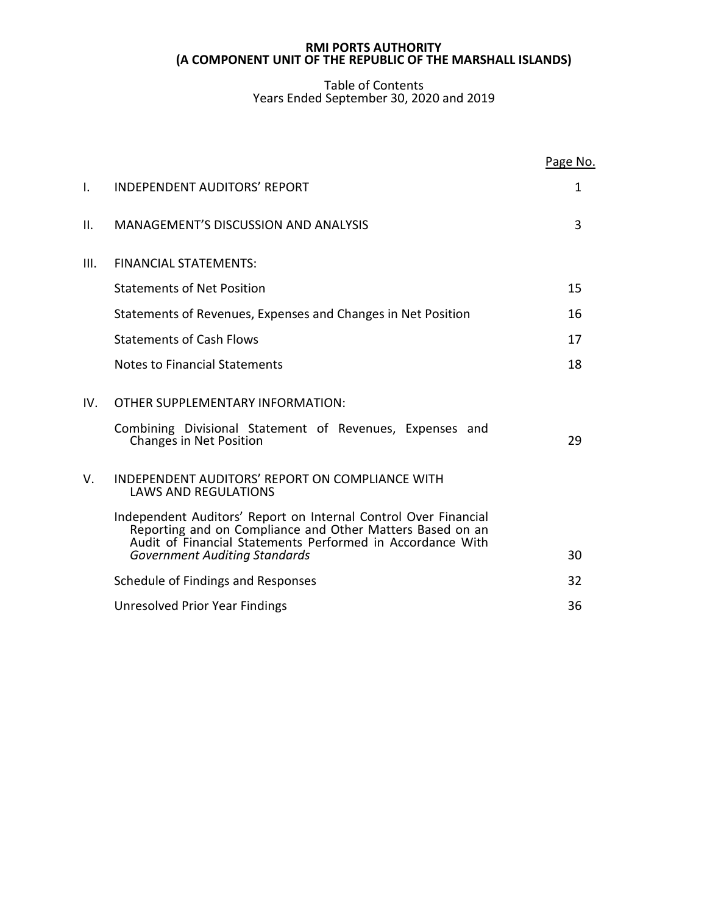#### Table of Contents Years Ended September 30, 2020 and 2019

|      |                                                                                                                                                                                                                                    | Page No. |
|------|------------------------------------------------------------------------------------------------------------------------------------------------------------------------------------------------------------------------------------|----------|
| ı.   | <b>INDEPENDENT AUDITORS' REPORT</b>                                                                                                                                                                                                | 1        |
| II.  | <b>MANAGEMENT'S DISCUSSION AND ANALYSIS</b>                                                                                                                                                                                        | 3        |
| III. | <b>FINANCIAL STATEMENTS:</b>                                                                                                                                                                                                       |          |
|      | <b>Statements of Net Position</b>                                                                                                                                                                                                  | 15       |
|      | Statements of Revenues, Expenses and Changes in Net Position                                                                                                                                                                       | 16       |
|      | <b>Statements of Cash Flows</b>                                                                                                                                                                                                    | 17       |
|      | <b>Notes to Financial Statements</b>                                                                                                                                                                                               | 18       |
| IV.  | OTHER SUPPLEMENTARY INFORMATION:                                                                                                                                                                                                   |          |
|      | Combining Divisional Statement of Revenues, Expenses and<br>Changes in Net Position                                                                                                                                                | 29       |
| V.   | INDEPENDENT AUDITORS' REPORT ON COMPLIANCE WITH<br><b>LAWS AND REGULATIONS</b>                                                                                                                                                     |          |
|      | Independent Auditors' Report on Internal Control Over Financial<br>Reporting and on Compliance and Other Matters Based on an<br>Audit of Financial Statements Performed in Accordance With<br><b>Government Auditing Standards</b> | 30       |
|      | Schedule of Findings and Responses                                                                                                                                                                                                 | 32       |
|      | Unresolved Prior Year Findings                                                                                                                                                                                                     | 36       |
|      |                                                                                                                                                                                                                                    |          |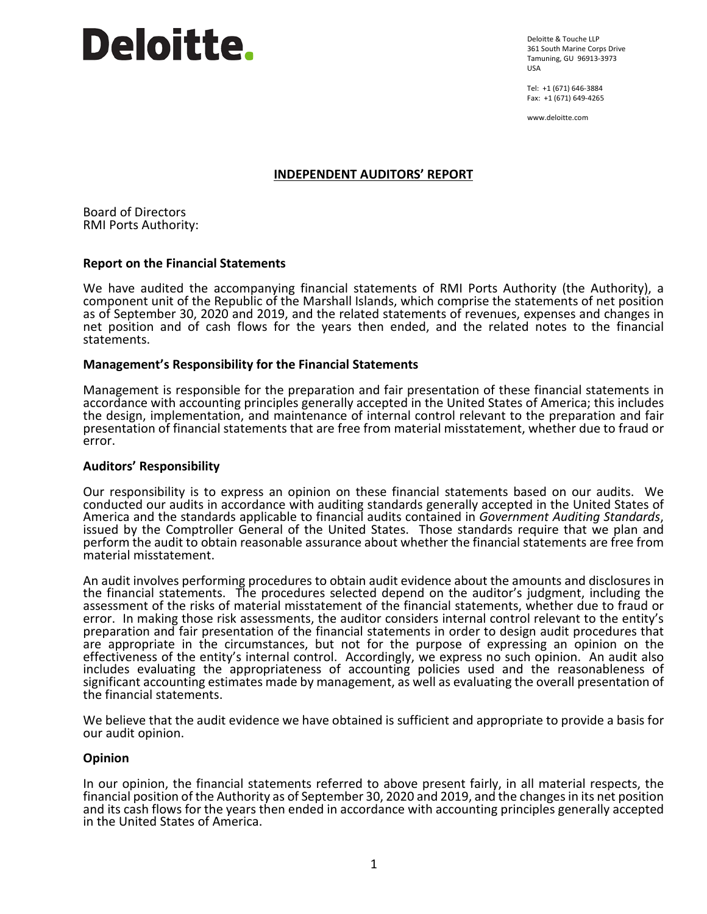# Deloitte.

Deloitte & Touche LLP 361 South Marine Corps Drive Tamuning, GU 96913-3973 USA

Tel: +1 (671) 646-3884 Fax: +1 (671) 649-4265

www.deloitte.com

#### **INDEPENDENT AUDITORS' REPORT**

Board of Directors RMI Ports Authority:

#### **Report on the Financial Statements**

We have audited the accompanying financial statements of RMI Ports Authority (the Authority), a component unit of the Republic of the Marshall Islands, which comprise the statements of net position as of September 30, 2020 and 2019, and the related statements of revenues, expenses and changes in net position and of cash flows for the years then ended, and the related notes to the financial statements.

#### **Management's Responsibility for the Financial Statements**

Management is responsible for the preparation and fair presentation of these financial statements in accordance with accounting principles generally accepted in the United States of America; this includes the design, implementation, and maintenance of internal control relevant to the preparation and fair presentation of financial statements that are free from material misstatement, whether due to fraud or error.

#### **Auditors' Responsibility**

Our responsibility is to express an opinion on these financial statements based on our audits. We conducted our audits in accordance with auditing standards generally accepted in the United States of America and the standards applicable to financial audits contained in Government Auditing Standards, America and the standards applicable to financial audits contained in *Government Auditing Standards*, issued by the Comptroller General of the United States. Those standards require that we plan and perform the audit to obtain reasonable assurance about whether the financial statements are free from material misstatement.

An audit involves performing procedures to obtain audit evidence about the amounts and disclosures in the financial statements. The procedures selected depend on the auditor's judgment, including the assessment of the risks of material misstatement of the financial statements, whether due to fraud or error. In making those risk assessments, the auditor considers internal control relevant to the entity's preparation and fair presentation of the financial statements in order to design audit procedures that are appropriate in the circumstances, but not for the purpose of expressing an opinion on the effectiveness of the entity's internal control. Accordingly, we express no such opinion. An audit also includes evaluating the appropriateness of accounting policies used and the reasonableness of significant accounting estimates made by management, as well as evaluating the overall presentation of the financial statements.

We believe that the audit evidence we have obtained is sufficient and appropriate to provide a basis for our audit opinion.

#### **Opinion**

In our opinion, the financial statements referred to above present fairly, in all material respects, the financial position of the Authority as of September 30, 2020 and 2019, and the changes in its net position and its cash flows for the years then ended in accordance with accounting principles generally accepted in the United States of America.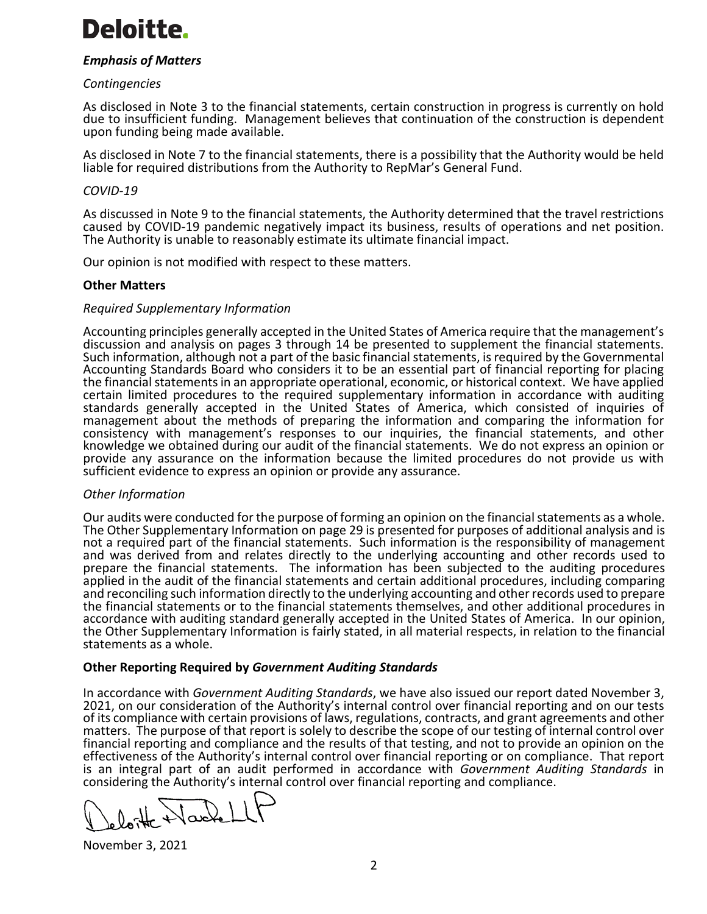# Deloitte.

## *Emphasis of Matters*

#### *Contingencies*

As disclosed in Note 3 to the financial statements, certain construction in progress is currently on hold due to insufficient funding. Management believes that continuation of the construction is dependent upon funding being made available.

As disclosed in Note 7 to the financial statements, there is a possibility that the Authority would be held liable for required distributions from the Authority to RepMar's General Fund.

#### *COVID-19*

As discussed in Note 9 to the financial statements, the Authority determined that the travel restrictions caused by COVID-19 pandemic negatively impact its business, results of operations and net position. The Authority is unable to reasonably estimate its ultimate financial impact.

Our opinion is not modified with respect to these matters.

#### **Other Matters**

#### *Required Supplementary Information*

Accounting principles generally accepted in the United States of America require that the management's discussion and analysis on pages 3 through 14 be presented to supplement the financial statements. Such information, although not a part of the basic financial statements, is required by the Governmental Accounting Standards Board who considers it to be an essential part of financial reporting for placing the financial statements in an appropriate operational, economic, or historical context. We have applied certain limited procedures to the required supplementary information in accordance with auditing standards generally accepted in the United States of America, which consisted of inquiries of management about the methods of preparing the information and comparing the information for consistency with management's responses to our inquiries, the financial statements, and other knowledge we obtained during our audit of the financial statements. We do not express an opinion or provide any assurance on the information because the limited procedures do not provide us with sufficient evidence to express an opinion or provide any assurance.

#### *Other Information*

Our audits were conducted for the purpose of forming an opinion on the financial statements as a whole. The Other Supplementary Information on page 29 is presented for purposes of additional analysis and is not a required part of the financial statements. Such information is the responsibility of management and was derived from and relates directly to the underlying accounting and other records used to prepare the financial statements. The information has been subjected to the auditing procedures applied in the audit of the financial statements and certain additional procedures, including comparing and reconciling such information directly to the underlying accounting and other records used to prepare the financial statements or to the financial statements themselves, and other additional procedures in accordance with auditing standard generally accepted in the United States of America. In our opinion, the Other Supplementary Information is fairly stated, in all material respects, in relation to the financial statements as a whole.

#### **Other Reporting Required by** *Government Auditing Standards*

In accordance with *Government Auditing Standards*, we have also issued our report dated November 3, 2021, on our consideration of the Authority's internal control over financial reporting and on our tests of its compliance with certain provisions of laws, regulations, contracts, and grant agreements and other matters. The purpose of that report is solely to describe the scope of our testing of internal control over financial reporting and compliance and the results of that testing, and not to provide an opinion on the effectiveness of the Authority's internal control over financial reporting or on compliance. That report is an integral part of an audit performed in accordance with *Government Auditing Standards* in considering the Authority's internal control over financial reporting and compliance.

Varket

November 3, 2021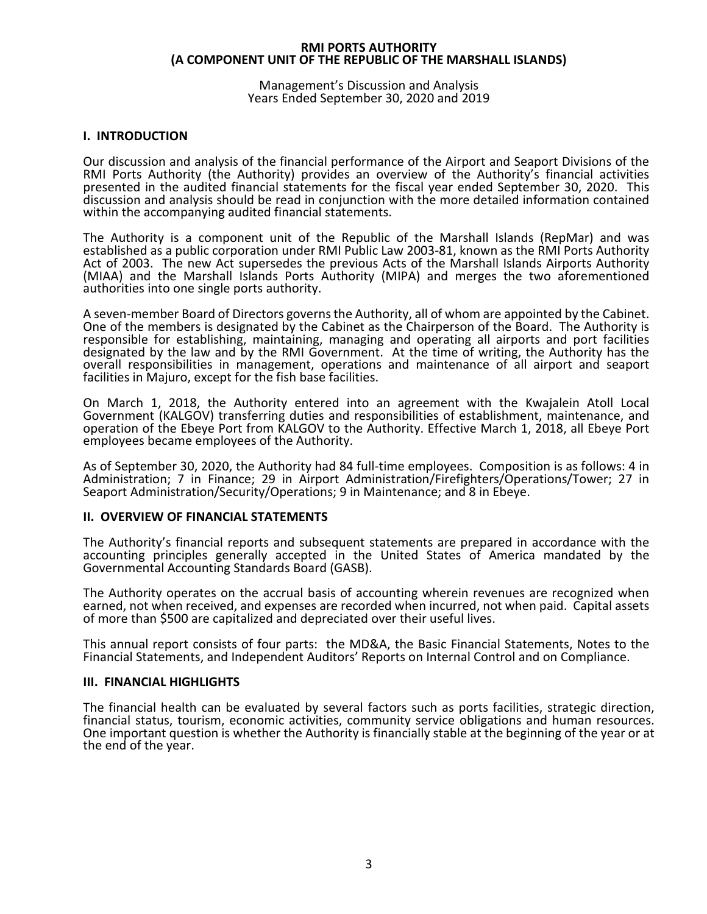Management's Discussion and Analysis Years Ended September 30, 2020 and 2019

#### **I. INTRODUCTION**

Our discussion and analysis of the financial performance of the Airport and Seaport Divisions of the RMI Ports Authority (the Authority) provides an overview of the Authority's financial activities presented in the audited financial statements for the fiscal year ended September 30, 2020. This discussion and analysis should be read in conjunction with the more detailed information contained within the accompanying audited financial statements.

The Authority is a component unit of the Republic of the Marshall Islands (RepMar) and was established as a public corporation under RMI Public Law 2003-81, known as the RMI Ports Authority Act of 2003. The new Act supersedes the previous Acts of the Marshall Islands Airports Authority (MIAA) and the Marshall Islands Ports Authority (MIPA) and merges the two aforementioned authorities into one single ports authority.

A seven-member Board of Directors governs the Authority, all of whom are appointed by the Cabinet. One of the members is designated by the Cabinet as the Chairperson of the Board. The Authority is responsible for establishing, maintaining, managing and operating all airports and port facilities designated by the law and by the RMI Government. At the time of writing, the Authority has the overall responsibilities in management, operations and maintenance of all airport and seaport facilities in Majuro, except for the fish base facilities.

On March 1, 2018, the Authority entered into an agreement with the Kwajalein Atoll Local Government (KALGOV) transferring duties and responsibilities of establishment, maintenance, and operation of the Ebeye Port from KALGOV to the Authority. Effective March 1, 2018, all Ebeye Port employees became employees of the Authority.

As of September 30, 2020, the Authority had 84 full-time employees. Composition is as follows: 4 in Administration; 7 in Finance; 29 in Airport Administration/Firefighters/Operations/Tower; 27 in Seaport Administration/Security/Operations; 9 in Maintenance; and 8 in Ebeye.

#### **II. OVERVIEW OF FINANCIAL STATEMENTS**

The Authority's financial reports and subsequent statements are prepared in accordance with the accounting principles generally accepted in the United States of America mandated by the Governmental Accounting Standards Board (GASB).

The Authority operates on the accrual basis of accounting wherein revenues are recognized when earned, not when received, and expenses are recorded when incurred, not when paid. Capital assets of more than \$500 are capitalized and depreciated over their useful lives.

This annual report consists of four parts: the MD&A, the Basic Financial Statements, Notes to the Financial Statements, and Independent Auditors' Reports on Internal Control and on Compliance.

#### **III. FINANCIAL HIGHLIGHTS**

The financial health can be evaluated by several factors such as ports facilities, strategic direction, financial status, tourism, economic activities, community service obligations and human resources. One important question is whether the Authority is financially stable at the beginning of the year or at the end of the year.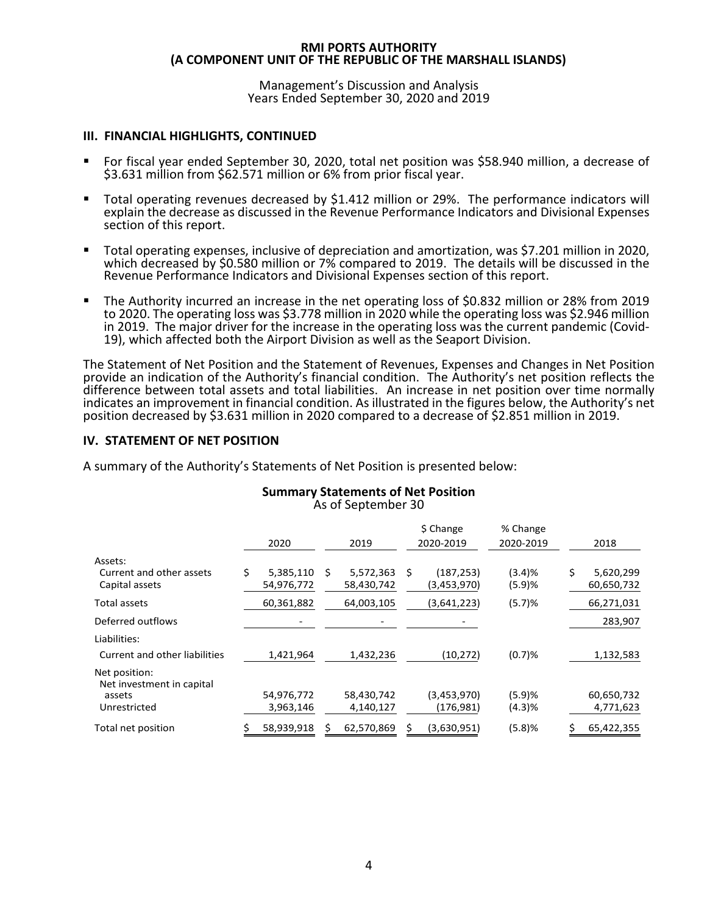Management's Discussion and Analysis Years Ended September 30, 2020 and 2019

#### **III. FINANCIAL HIGHLIGHTS, CONTINUED**

- For fiscal year ended September 30, 2020, total net position was \$58.940 million, a decrease of \$3.631 million from \$62.571 million or 6% from prior fiscal year.
- Total operating revenues decreased by \$1.412 million or 29%. The performance indicators will explain the decrease as discussed in the Revenue Performance Indicators and Divisional Expenses section of this report.
- Total operating expenses, inclusive of depreciation and amortization, was \$7.201 million in 2020, which decreased by \$0.580 million or 7% compared to 2019. The details will be discussed in the Revenue Performance Indicators and Divisional Expenses section of this report.
- The Authority incurred an increase in the net operating loss of \$0.832 million or 28% from 2019 to 2020. The operating loss was \$3.778 million in 2020 while the operating loss was \$2.946 million in 2019. The major driver for the increase in the operating loss was the current pandemic (Covid-<br>19), which affected both the Airport Division as well as the Seaport Division.

The Statement of Net Position and the Statement of Revenues, Expenses and Changes in Net Position provide an indication of the Authority's financial condition. The Authority's net position reflects the difference between total assets and total liabilities. An increase in net position over time normally indicates an improvement in financial condition. As illustrated in the figures below, the Authority's net position decreased by \$3.631 million in 2020 compared to a decrease of \$2.851 million in 2019.

#### **IV. STATEMENT OF NET POSITION**

A summary of the Authority's Statements of Net Position is presented below:

|                                                       |   | 2020                    | 2019                          |   | \$ Change<br>2020-2019    | % Change<br>2020-2019 | 2018                          |
|-------------------------------------------------------|---|-------------------------|-------------------------------|---|---------------------------|-----------------------|-------------------------------|
| Assets:<br>Current and other assets<br>Capital assets | Ś | 5,385,110<br>54,976,772 | \$<br>5,572,363<br>58,430,742 | s | (187, 253)<br>(3,453,970) | (3.4)%<br>(5.9)%      | \$<br>5,620,299<br>60,650,732 |
| Total assets                                          |   | 60,361,882              | 64,003,105                    |   | (3,641,223)               | (5.7)%                | 66,271,031                    |
| Deferred outflows                                     |   | -                       |                               |   |                           |                       | 283,907                       |
| Liabilities:                                          |   |                         |                               |   |                           |                       |                               |
| Current and other liabilities                         |   | 1,421,964               | 1,432,236                     |   | (10, 272)                 | (0.7)%                | 1,132,583                     |
| Net position:<br>Net investment in capital            |   |                         |                               |   |                           |                       |                               |
| assets                                                |   | 54,976,772              | 58,430,742                    |   | (3,453,970)               | (5.9)%                | 60,650,732                    |
| Unrestricted                                          |   | 3,963,146               | 4,140,127                     |   | (176, 981)                | (4.3)%                | 4,771,623                     |
| Total net position                                    |   | 58,939,918              | 62,570,869                    |   | (3,630,951)               | (5.8)%                | 65,422,355                    |

#### **Summary Statements of Net Position** As of September 30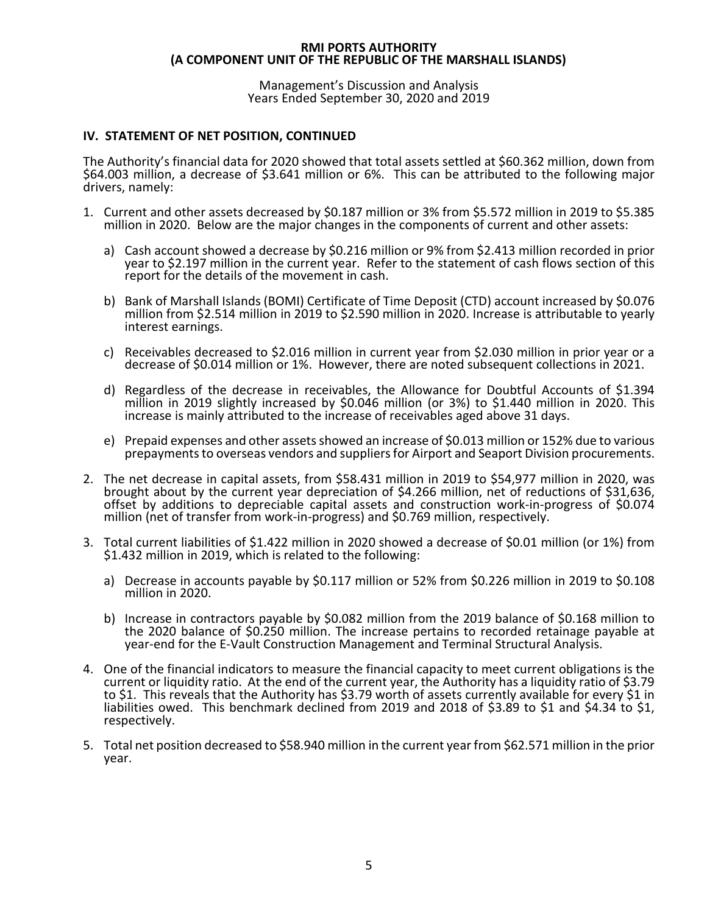Management's Discussion and Analysis Years Ended September 30, 2020 and 2019

#### **IV. STATEMENT OF NET POSITION, CONTINUED**

The Authority's financial data for 2020 showed that total assets settled at \$60.362 million, down from \$64.003 million, a decrease of \$3.641 million or 6%. This can be attributed to the following major drivers, namely:

- 1. Current and other assets decreased by \$0.187 million or 3% from \$5.572 million in 2019 to \$5.385 million in 2020. Below are the major changes in the components of current and other assets:
	- a) Cash account showed a decrease by \$0.216 million or 9% from \$2.413 million recorded in prior year to \$2.197 million in the current year. Refer to the statement of cash flows section of this report for the details of the movement in cash.
	- b) Bank of Marshall Islands (BOMI) Certificate of Time Deposit (CTD) account increased by \$0.076 million from \$2.514 million in 2019 to \$2.590 million in 2020. Increase is attributable to yearly interest earnings.
	- c) Receivables decreased to \$2.016 million in current year from \$2.030 million in prior year or a decrease of \$0.014 million or 1%. However, there are noted subsequent collections in 2021.
	- d) Regardless of the decrease in receivables, the Allowance for Doubtful Accounts of \$1.394 million in 2019 slightly increased by \$0.046 million (or 3%) to \$1.440 million in 2020. This increase is mainly attributed to the increase of receivables aged above 31 days.
	- e) Prepaid expenses and other assets showed an increase of \$0.013 million or 152% due to various prepayments to overseas vendors and suppliers for Airport and Seaport Division procurements.
- 2. The net decrease in capital assets, from \$58.431 million in 2019 to \$54,977 million in 2020, was brought about by the current year depreciation of \$4.266 million, net of reductions of \$31,636, offset by additions to depreciable capital assets and construction work-in-progress of \$0.074 million (net of transfer from work-in-progress) and \$0.769 million, respectively.
- 3. Total current liabilities of \$1.422 million in 2020 showed a decrease of \$0.01 million (or 1%) from \$1.432 million in 2019, which is related to the following:
	- a) Decrease in accounts payable by \$0.117 million or 52% from \$0.226 million in 2019 to \$0.108 million in 2020.
	- b) Increase in contractors payable by \$0.082 million from the 2019 balance of \$0.168 million to the 2020 balance of \$0.250 million. The increase pertains to recorded retainage payable at year-end for the E-Vault Construction Management and Terminal Structural Analysis.
- 4. One of the financial indicators to measure the financial capacity to meet current obligations is the current or liquidity ratio. At the end of the current year, the Authority has a liquidity ratio of \$3.79 to \$1. This reveals that the Authority has \$3.79 worth of assets currently available for every \$1 in liabilities owed. This benchmark declined from 2019 and 2018 of \$3.89 to \$1 and \$4.34 to \$1, respectively.
- 5. Total net position decreased to \$58.940 million in the current year from \$62.571 million in the prior year.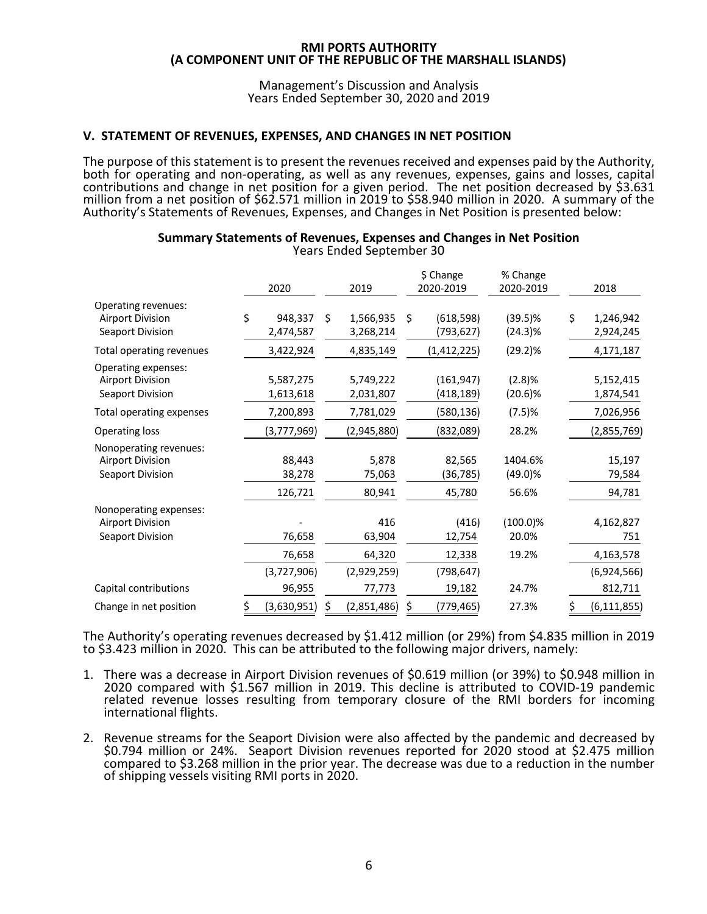Management's Discussion and Analysis Years Ended September 30, 2020 and 2019

#### **V. STATEMENT OF REVENUES, EXPENSES, AND CHANGES IN NET POSITION**

The purpose of this statement is to present the revenues received and expenses paid by the Authority, both for operating and non-operating, as well as any revenues, expenses, gains and losses, capital contributions and change in net position for a given period. The net position decreased by \$3.631 million from a net position of \$62.571 million in 2019 to \$58.940 million in 2020. A summary of the Authority's Statements of Revenues, Expenses, and Changes in Net Position is presented below:

|                                                                       |    | 2020                        |    | 2019                      |    | \$ Change<br>2020-2019       | % Change<br>2020-2019          |    | 2018                          |
|-----------------------------------------------------------------------|----|-----------------------------|----|---------------------------|----|------------------------------|--------------------------------|----|-------------------------------|
| Operating revenues:<br>Airport Division<br>Seaport Division           | S  | 948,337<br>2,474,587        | S  | 1,566,935<br>3,268,214    | S  | (618, 598)<br>(793,627)      | $(39.5)\%$<br>$(24.3)\%$       | Ş  | 1,246,942<br>2,924,245        |
| Total operating revenues                                              |    | 3,422,924                   |    | 4,835,149                 |    | (1, 412, 225)                | $(29.2)\%$                     |    | 4,171,187                     |
| Operating expenses:<br><b>Airport Division</b><br>Seaport Division    |    | 5,587,275<br>1,613,618      |    | 5,749,222<br>2,031,807    |    | (161, 947)<br>(418,189)      | (2.8)%<br>$(20.6)\%$           |    | 5,152,415<br>1,874,541        |
| Total operating expenses                                              |    | 7,200,893                   |    | 7,781,029                 |    | (580, 136)                   | (7.5)%                         |    | 7,026,956                     |
| <b>Operating loss</b>                                                 |    | (3,777,969)                 |    | (2,945,880)               |    | (832,089)                    | 28.2%                          |    | (2,855,769)                   |
| Nonoperating revenues:<br><b>Airport Division</b><br>Seaport Division |    | 88,443<br>38,278<br>126,721 |    | 5,878<br>75,063<br>80,941 |    | 82,565<br>(36,785)<br>45,780 | 1404.6%<br>$(49.0)\%$<br>56.6% |    | 15,197<br>79,584<br>94,781    |
| Nonoperating expenses:<br><b>Airport Division</b><br>Seaport Division |    | 76,658<br>76,658            |    | 416<br>63,904<br>64,320   |    | (416)<br>12,754<br>12,338    | $(100.0)\%$<br>20.0%<br>19.2%  |    | 4,162,827<br>751<br>4,163,578 |
|                                                                       |    | (3,727,906)                 |    | (2,929,259)               |    | (798, 647)                   |                                |    | (6,924,566)                   |
| Capital contributions                                                 |    | 96,955                      |    | 77,773                    |    | 19,182                       | 24.7%                          |    | 812,711                       |
| Change in net position                                                | \$ | (3,630,951)                 | \$ | (2,851,486)               | \$ | (779,465)                    | 27.3%                          | \$ | (6, 111, 855)                 |

#### **Summary Statements of Revenues, Expenses and Changes in Net Position** Years Ended September 30

The Authority's operating revenues decreased by \$1.412 million (or 29%) from \$4.835 million in 2019 to \$3.423 million in 2020. This can be attributed to the following major drivers, namely:

- 1. There was a decrease in Airport Division revenues of \$0.619 million (or 39%) to \$0.948 million in 2020 compared with \$1.567 million in 2019. This decline is attributed to COVID-19 pandemic related revenue losses resulting from temporary closure of the RMI borders for incoming international flights.
- 2. Revenue streams for the Seaport Division were also affected by the pandemic and decreased by \$0.794 million or 24%. Seaport Division revenues reported for 2020 stood at \$2.475 million compared to \$3.268 million in the prior year. The decrease was due to a reduction in the number of shipping vessels visiting RMI ports in 2020.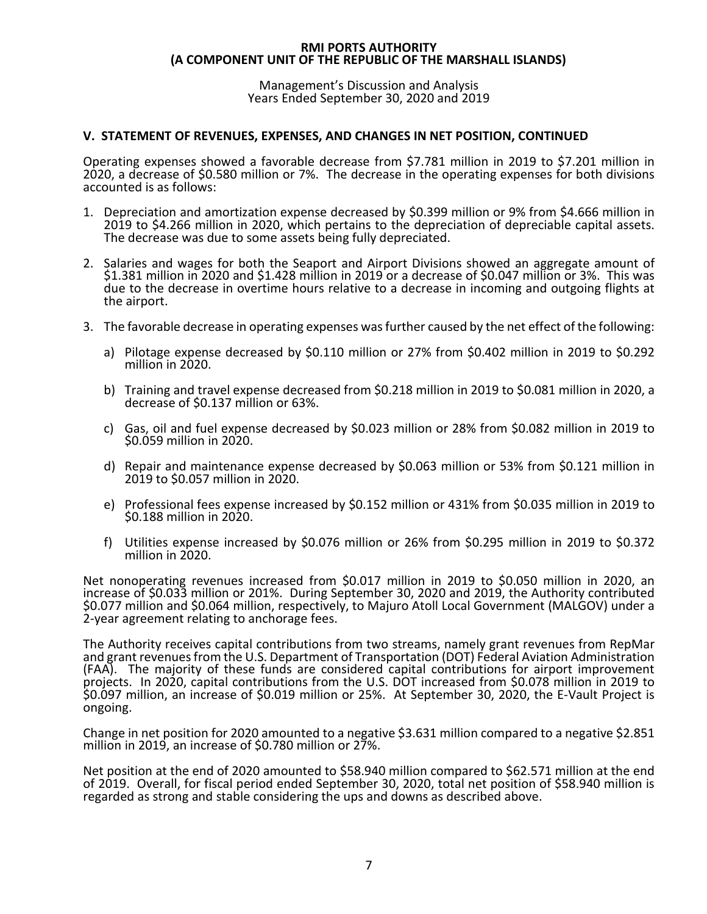Management's Discussion and Analysis Years Ended September 30, 2020 and 2019

#### **V. STATEMENT OF REVENUES, EXPENSES, AND CHANGES IN NET POSITION, CONTINUED**

Operating expenses showed a favorable decrease from \$7.781 million in 2019 to \$7.201 million in 2020, a decrease of \$0.580 million or 7%. The decrease in the operating expenses for both divisions accounted is as follows:

- 1. Depreciation and amortization expense decreased by \$0.399 million or 9% from \$4.666 million in 2019 to \$4.266 million in 2020, which pertains to the depreciation of depreciable capital assets. The decrease was due to some assets being fully depreciated.
- 2. Salaries and wages for both the Seaport and Airport Divisions showed an aggregate amount of \$1.381 million in 2020 and \$1.428 million in 2019 or a decrease of \$0.047 million or 3%. This was due to the decrease in overtime hours relative to a decrease in incoming and outgoing flights at the airport.
- 3. The favorable decrease in operating expenses was further caused by the net effect of the following:
	- a) Pilotage expense decreased by \$0.110 million or 27% from \$0.402 million in 2019 to \$0.292 million in 2020.
	- b) Training and travel expense decreased from \$0.218 million in 2019 to \$0.081 million in 2020, a decrease of \$0.137 million or 63%.
	- c) Gas, oil and fuel expense decreased by \$0.023 million or 28% from \$0.082 million in 2019 to \$0.059 million in 2020.
	- d) Repair and maintenance expense decreased by \$0.063 million or 53% from \$0.121 million in 2019 to \$0.057 million in 2020.
	- e) Professional fees expense increased by \$0.152 million or 431% from \$0.035 million in 2019 to \$0.188 million in 2020.
	- f) Utilities expense increased by \$0.076 million or 26% from \$0.295 million in 2019 to \$0.372 million in 2020.

Net nonoperating revenues increased from \$0.017 million in 2019 to \$0.050 million in 2020, an increase of \$0.033 million or 201%. During September 30, 2020 and 2019, the Authority contributed increase of \$0.033 million or 201%. During September 30, 2020 and 2019, the Authority contributed \$0.077 million and \$0.064 million, respectively, to Majuro Atoll Local Government (MALGOV) under a 2-year agreement relating to anchorage fees.

The Authority receives capital contributions from two streams, namely grant revenues from RepMar and grant revenues from the U.S. Department of Transportation (DOT) Federal Aviation Administration (FAA). The majority of these funds are considered capital contributions for airport improvement projects. In 2020, capital contributions from the U.S. DOT increased from \$0.078 million in 2019 to \$0.097 million, an increase of \$0.019 million or 25%. At September 30, 2020, the E-Vault Project is ongoing.

Change in net position for 2020 amounted to a negative \$3.631 million compared to a negative \$2.851 million in 2019, an increase of \$0.780 million or 27%.

Net position at the end of 2020 amounted to \$58.940 million compared to \$62.571 million at the end of 2019. Overall, for fiscal period ended September 30, 2020, total net position of \$58.940 million is regarded as strong and stable considering the ups and downs as described above.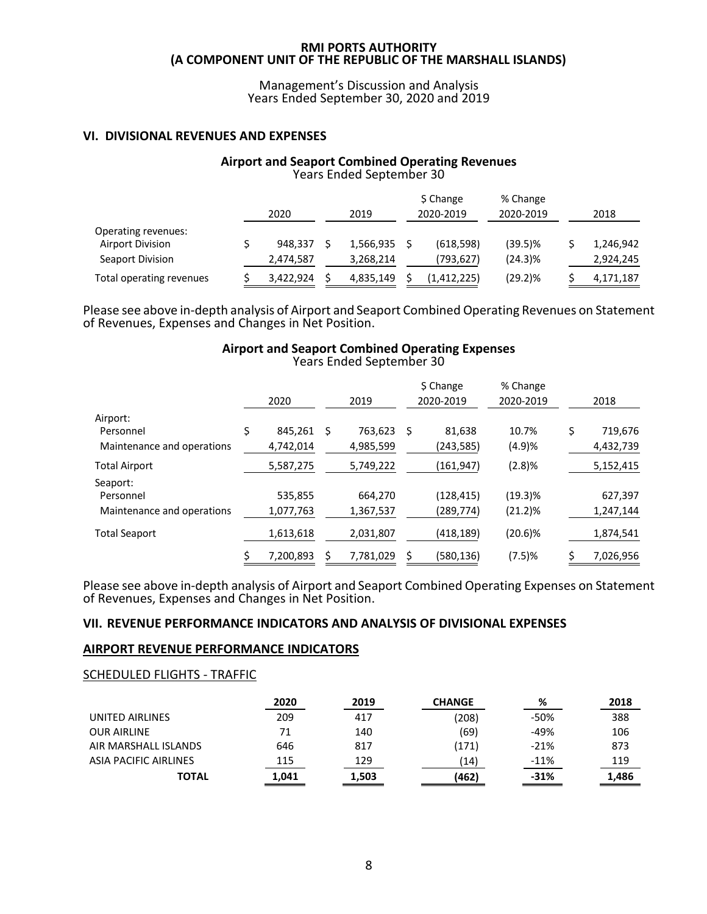Management's Discussion and Analysis Years Ended September 30, 2020 and 2019

#### **VI. DIVISIONAL REVENUES AND EXPENSES**

#### **Airport and Seaport Combined Operating Revenues** Years Ended September 30

|                                                | 2020      | 2019      | \$ Change<br>2020-2019 | % Change<br>2020-2019 | 2018      |
|------------------------------------------------|-----------|-----------|------------------------|-----------------------|-----------|
| Operating revenues:<br><b>Airport Division</b> | 948.337   | 1,566,935 | (618, 598)             | $(39.5)\%$            | 1,246,942 |
| Seaport Division                               | 2,474,587 | 3,268,214 | (793, 627)             | $(24.3)\%$            | 2,924,245 |
| Total operating revenues                       | 3,422,924 | 4,835,149 | (1,412,225)            | (29.2)%               | 4,171,187 |

Please see above in-depth analysis of Airport and Seaport Combined Operating Revenues on Statement of Revenues, Expenses and Changes in Net Position.

### **Airport and Seaport Combined Operating Expenses**

Years Ended September 30

|                            |   | 2020      |   | 2019      |   | S Change<br>2020-2019 | % Change<br>2020-2019 |   | 2018      |
|----------------------------|---|-----------|---|-----------|---|-----------------------|-----------------------|---|-----------|
| Airport:                   |   |           |   |           |   |                       |                       |   |           |
| Personnel                  | S | 845,261   | S | 763,623   | S | 81,638                | 10.7%                 | S | 719,676   |
| Maintenance and operations |   | 4,742,014 |   | 4,985,599 |   | (243,585)             | (4.9)%                |   | 4,432,739 |
| <b>Total Airport</b>       |   | 5,587,275 |   | 5,749,222 |   | (161,947)             | (2.8)%                |   | 5,152,415 |
| Seaport:                   |   |           |   |           |   |                       |                       |   |           |
| Personnel                  |   | 535,855   |   | 664,270   |   | (128,415)             | (19.3)%               |   | 627,397   |
| Maintenance and operations |   | 1,077,763 |   | 1,367,537 |   | (289,774)             | $(21.2)\%$            |   | 1,247,144 |
| <b>Total Seaport</b>       |   | 1,613,618 |   | 2,031,807 |   | (418,189)             | $(20.6)\%$            |   | 1,874,541 |
|                            |   | 7,200,893 |   | 7,781,029 |   | (580,136)             | (7.5)%                |   | 7,026,956 |

Please see above in-depth analysis of Airport and Seaport Combined Operating Expenses on Statement of Revenues, Expenses and Changes in Net Position.

#### **VII. REVENUE PERFORMANCE INDICATORS AND ANALYSIS OF DIVISIONAL EXPENSES**

#### **AIRPORT REVENUE PERFORMANCE INDICATORS**

#### SCHEDULED FLIGHTS - TRAFFIC

|                       | 2020  | 2019  | <b>CHANGE</b> | %      | 2018  |
|-----------------------|-------|-------|---------------|--------|-------|
| UNITED AIRLINES       | 209   | 417   | (208)         | -50%   | 388   |
| <b>OUR AIRLINE</b>    | 71    | 140   | (69)          | -49%   | 106   |
| AIR MARSHALL ISLANDS  | 646   | 817   | (171)         | $-21%$ | 873   |
| ASIA PACIFIC AIRLINES | 115   | 129   | $\mathbf{A}$  | $-11%$ | 119   |
| <b>TOTAL</b>          | 1,041 | 1,503 | (462)         | $-31%$ | 1,486 |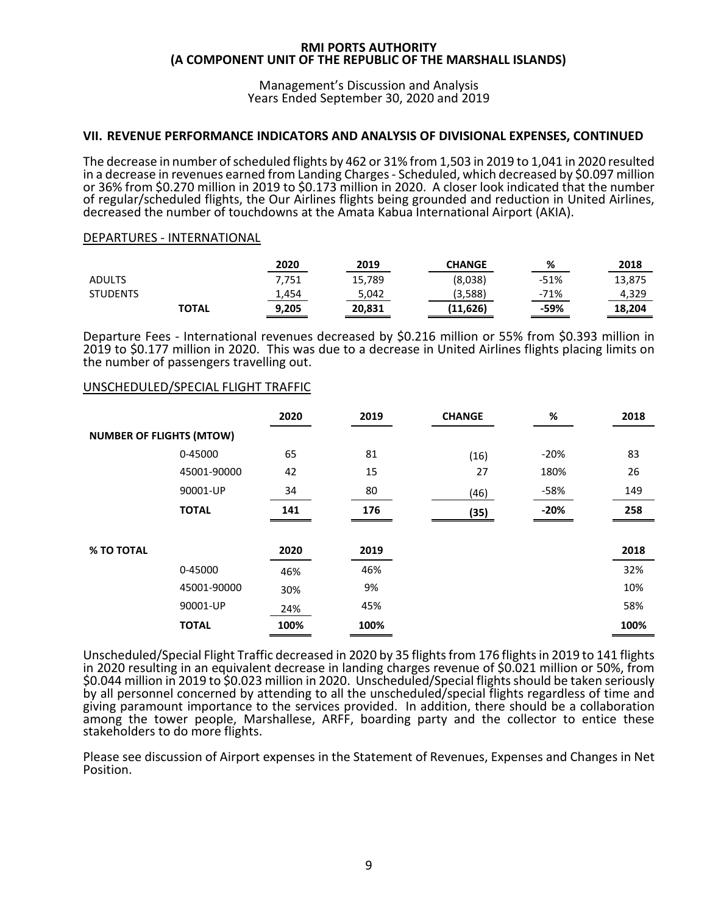#### Management's Discussion and Analysis Years Ended September 30, 2020 and 2019

#### **VII. REVENUE PERFORMANCE INDICATORS AND ANALYSIS OF DIVISIONAL EXPENSES, CONTINUED**

The decrease in number of scheduled flights by 462 or 31% from 1,503 in 2019 to 1,041 in 2020 resulted in a decrease in revenues earned from Landing Charges - Scheduled, which decreased by \$0.097 million or 36% from \$0.270 million in 2019 to \$0.173 million in 2020. A closer look indicated that the number of regular/scheduled flights, the Our Airlines flights being grounded and reduction in United Airlines, decreased the number of touchdowns at the Amata Kabua International Airport (AKIA).

#### DEPARTURES - INTERNATIONAL

|                 | 2020  | 2019   | <b>CHANGE</b> | %      | 2018   |
|-----------------|-------|--------|---------------|--------|--------|
| <b>ADULTS</b>   | 7.751 | 15.789 | (8,038)       | $-51%$ | 13,875 |
| <b>STUDENTS</b> | 1,454 | 5,042  | 3,588         | $-71%$ | 4,329  |
| <b>TOTAL</b>    | 9,205 | 20,831 | (11,626)      | $-59%$ | 18,204 |

Departure Fees - International revenues decreased by \$0.216 million or 55% from \$0.393 million in 2019 to \$0.177 million in 2020. This was due to a decrease in United Airlines flights placing limits on the number of passengers travelling out.

#### UNSCHEDULED/SPECIAL FLIGHT TRAFFIC

|                                 |              | 2020 | 2019 | <b>CHANGE</b> | %      | 2018 |
|---------------------------------|--------------|------|------|---------------|--------|------|
| <b>NUMBER OF FLIGHTS (MTOW)</b> |              |      |      |               |        |      |
|                                 | 0-45000      | 65   | 81   | (16)          | $-20%$ | 83   |
|                                 | 45001-90000  | 42   | 15   | 27            | 180%   | 26   |
|                                 | 90001-UP     | 34   | 80   | (46)          | -58%   | 149  |
|                                 | <b>TOTAL</b> | 141  | 176  | (35)          | $-20%$ | 258  |
| % TO TOTAL                      |              | 2020 | 2019 |               |        | 2018 |
|                                 | 0-45000      | 46%  | 46%  |               |        | 32%  |
|                                 | 45001-90000  | 30%  | 9%   |               |        | 10%  |
|                                 | 90001-UP     | 24%  | 45%  |               |        | 58%  |
|                                 | <b>TOTAL</b> | 100% | 100% |               |        | 100% |

Unscheduled/Special Flight Traffic decreased in 2020 by 35 flights from 176 flights in 2019 to 141 flights in 2020 resulting in an equivalent decrease in landing charges revenue of \$0.021 million or 50%, from \$0.044 million in 2019 to \$0.023 million in 2020. Unscheduled/Special flights should be taken seriously by all personnel concerned by attending to all the unscheduled/special flights regardless of time and giving paramount importance to the services provided. In addition, there should be a collaboration among the tower people, Marshallese, ARFF, boarding party and the collector to entice these stakeholders to do more flights.

Please see discussion of Airport expenses in the Statement of Revenues, Expenses and Changes in Net Position.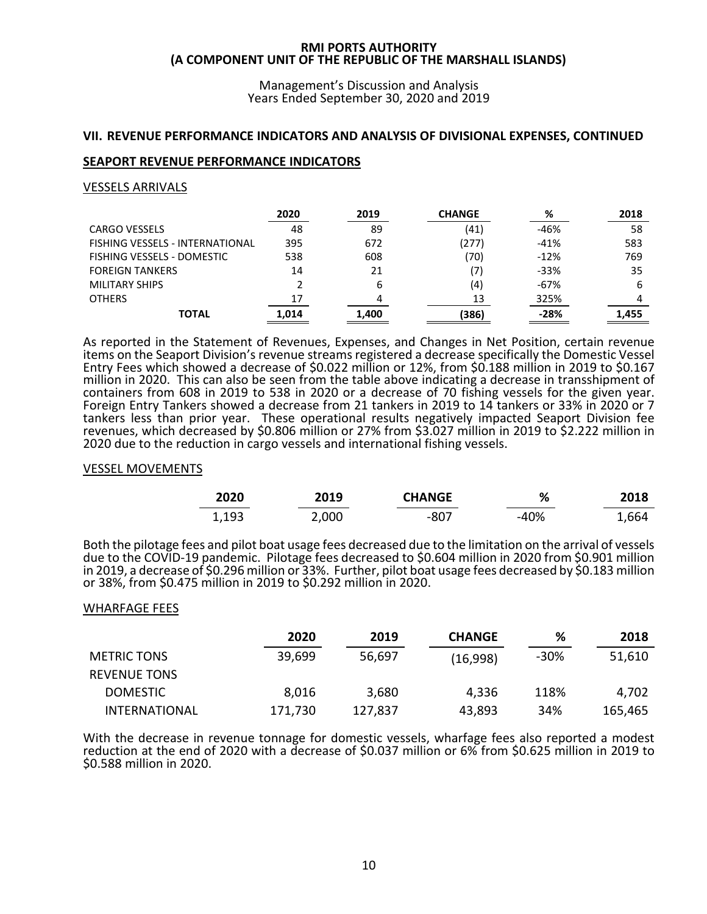#### Management's Discussion and Analysis Years Ended September 30, 2020 and 2019

#### **VII. REVENUE PERFORMANCE INDICATORS AND ANALYSIS OF DIVISIONAL EXPENSES, CONTINUED**

#### **SEAPORT REVENUE PERFORMANCE INDICATORS**

#### VESSELS ARRIVALS

|                                        | 2020  | 2019  | <b>CHANGE</b> | %      | 2018  |
|----------------------------------------|-------|-------|---------------|--------|-------|
| <b>CARGO VESSELS</b>                   | 48    | 89    | (41)          | $-46%$ | 58    |
| <b>FISHING VESSELS - INTERNATIONAL</b> | 395   | 672   | (277)         | $-41%$ | 583   |
| <b>FISHING VESSELS - DOMESTIC</b>      | 538   | 608   | (70)          | $-12%$ | 769   |
| <b>FOREIGN TANKERS</b>                 | 14    | 21    |               | $-33%$ | 35    |
| <b>MILITARY SHIPS</b>                  |       |       | (4)           | $-67%$ |       |
| <b>OTHERS</b>                          | 17    |       | 13            | 325%   |       |
| <b>TOTAL</b>                           | 1,014 | 1,400 | (386)         | $-28%$ | 1,455 |

As reported in the Statement of Revenues, Expenses, and Changes in Net Position, certain revenue items on the Seaport Division's revenue streams registered a decrease specifically the Domestic Vessel Entry Fees which showed a decrease of \$0.022 million or 12%, from \$0.188 million in 2019 to \$0.167 million in 2020. This can also be seen from the table above indicating a decrease in transshipment of containers from 608 in 2019 to 538 in 2020 or a decrease of 70 fishing vessels for the given year. Foreign Entry Tankers showed a decrease from 21 tankers in 2019 to 14 tankers or 33% in 2020 or 7 tankers less than prior year. These operational results negatively impacted Seaport Division fee revenues, which decreased by \$0.806 million or 27% from \$3.027 million in 2019 to \$2.222 million in 2020 due to the reduction in cargo vessels and international fishing vessels.

#### VESSEL MOVEMENTS

| 2020  | 2019  | <b>CHANGE</b> | %    | 2018  |
|-------|-------|---------------|------|-------|
| 1,193 | 2,000 | -807          | -40% | 1,664 |

Both the pilotage fees and pilot boat usage fees decreased due to the limitation on the arrival of vessels due to the COVID-19 pandemic. Pilotage fees decreased to \$0.604 million in 2020 from \$0.901 million in 2019, a decrease of \$0.296 million or 33%. Further, pilot boat usage fees decreased by \$0.183 million or 38%, from \$0.475 million in 2019 to \$0.292 million in 2020.

#### WHARFAGE FEES

|                      | 2020    | 2019    | <b>CHANGE</b> | %    | 2018    |
|----------------------|---------|---------|---------------|------|---------|
| <b>METRIC TONS</b>   | 39,699  | 56,697  | (16,998)      | -30% | 51,610  |
| <b>REVENUE TONS</b>  |         |         |               |      |         |
| <b>DOMESTIC</b>      | 8,016   | 3,680   | 4,336         | 118% | 4.702   |
| <b>INTERNATIONAL</b> | 171,730 | 127,837 | 43,893        | 34%  | 165,465 |

With the decrease in revenue tonnage for domestic vessels, wharfage fees also reported a modest reduction at the end of 2020 with a decrease of \$0.037 million or 6% from \$0.625 million in 2019 to \$0.588 million in 2020.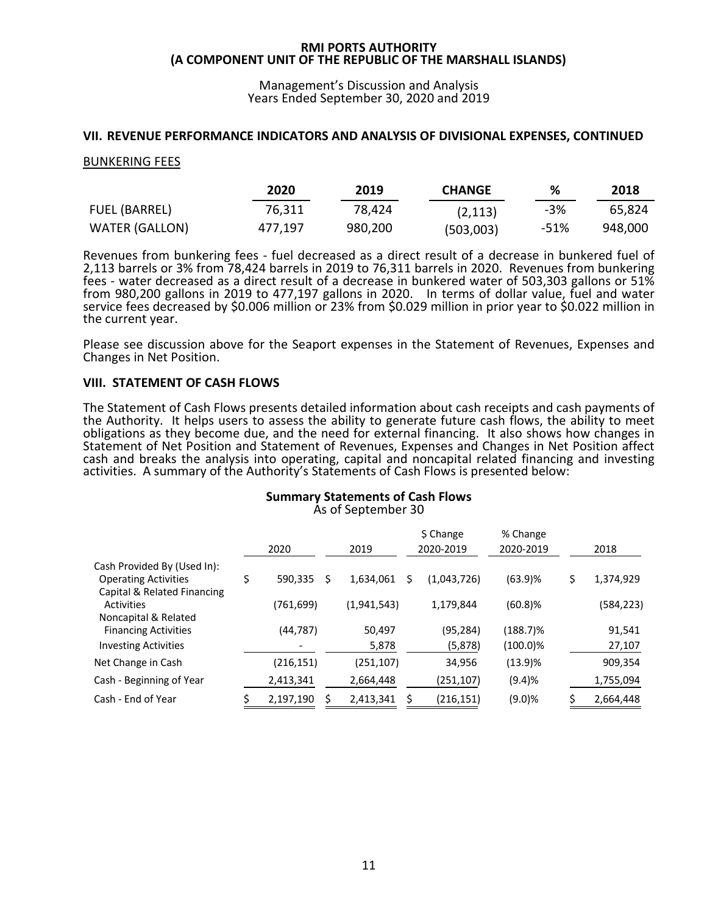Management's Discussion and Analysis Years Ended September 30, 2020 and 2019

#### **VII. REVENUE PERFORMANCE INDICATORS AND ANALYSIS OF DIVISIONAL EXPENSES, CONTINUED**

#### BUNKERING FEES

|                | 2020    | 2019    | <b>CHANGE</b> | %    | 2018    |
|----------------|---------|---------|---------------|------|---------|
| FUEL (BARREL)  | 76,311  | 78,424  | (2, 113)      | -3%  | 65.824  |
| WATER (GALLON) | 477.197 | 980,200 | (503,003)     | -51% | 948,000 |

Revenues from bunkering fees - fuel decreased as a direct result of a decrease in bunkered fuel of 2,113 barrels or 3% from 78,424 barrels in 2019 to 76,311 barrels in 2020. Revenues from bunkering fees - water decreased as a direct result of a decrease in bunkered water of 503,303 gallons or 51% from 980,200 gallons in 2019 to 477,197 gallons in 2020. In terms of dollar value, fuel and water service fees decreased by \$0.006 million or 23% from \$0.029 million in prior year to \$0.022 million in the current year.

Please see discussion above for the Seaport expenses in the Statement of Revenues, Expenses and Changes in Net Position.

#### **VIII. STATEMENT OF CASH FLOWS**

The Statement of Cash Flows presents detailed information about cash receipts and cash payments of the Authority. It helps users to assess the ability to generate future cash flows, the ability to meet obligations as they become due, and the need for external financing. It also shows how changes in Statement of Net Position and Statement of Revenues, Expenses and Changes in Net Position affect cash and breaks the analysis into operating, capital and noncapital related financing and investing activities. A summary of the Authority's Statements of Cash Flows is presented below:

#### **Summary Statements of Cash Flows** As of September 30

|                                                            |   | 2020      |   | 2019        |    | S Change<br>2020-2019 | % Change<br>2020-2019 |   | 2018      |
|------------------------------------------------------------|---|-----------|---|-------------|----|-----------------------|-----------------------|---|-----------|
| Cash Provided By (Used In):                                |   |           |   |             |    |                       |                       |   |           |
| <b>Operating Activities</b><br>Capital & Related Financing | Ş | 590,335   | S | 1,634,061   | S. | (1,043,726)           | (63.9)%               | Ş | 1,374,929 |
| Activities<br>Noncapital & Related                         |   | (761,699) |   | (1,941,543) |    | 1,179,844             | (60.8)%               |   | (584,223) |
| <b>Financing Activities</b>                                |   | (44,787)  |   | 50,497      |    | (95, 284)             | (188.7)%              |   | 91,541    |
| <b>Investing Activities</b>                                |   |           |   | 5,878       |    | (5,878)               | (100.0)%              |   | 27,107    |
| Net Change in Cash                                         |   | (216,151) |   | (251,107)   |    | 34,956                | (13.9)%               |   | 909,354   |
| Cash - Beginning of Year                                   |   | 2,413,341 |   | 2,664,448   |    | (251,107)             | (9.4)%                |   | 1,755,094 |
| Cash - End of Year                                         |   | 2,197,190 |   | 2,413,341   |    | (216,151)             | $(9.0)\%$             |   | 2,664,448 |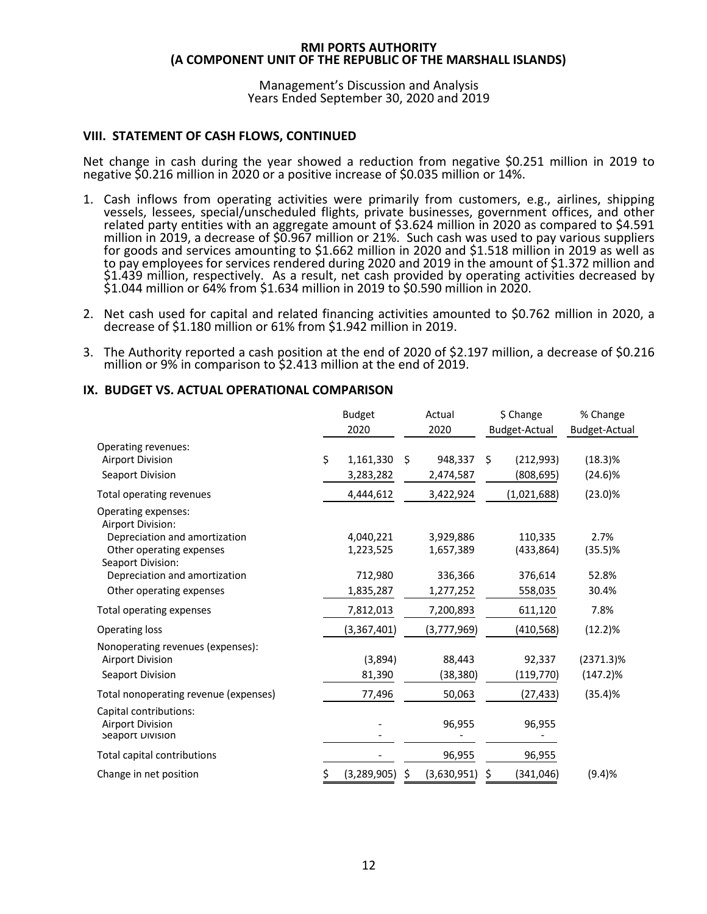Management's Discussion and Analysis Years Ended September 30, 2020 and 2019

#### **VIII. STATEMENT OF CASH FLOWS, CONTINUED**

Net change in cash during the year showed a reduction from negative \$0.251 million in 2019 to negative \$0.216 million in 2020 or a positive increase of \$0.035 million or 14%.

- 1. Cash inflows from operating activities were primarily from customers, e.g., airlines, shipping vessels, lessees, special/unscheduled flights, private businesses, government offices, and other related party entities with an aggregate amount of \$3.624 million in 2020 as compared to \$4.591 million in 2019, a decrease of \$0.967 million or 21%. Such cash was used to pay various suppliers<br>for goods and services amounting to \$1.662 million in 2020 and \$1.518 million in 2019 as well as to pay employees for services rendered during 2020 and 2019 in the amount of \$1.372 million and \$1.439 million, respectively. As a result, net cash provided by operating activities decreased by \$1.044 million, respectively. As a result, net cash provided by operating activities decreased by
- 2. Net cash used for capital and related financing activities amounted to \$0.762 million in 2020, a decrease of \$1.180 million or 61% from \$1.942 million in 2019.
- 3. The Authority reported a cash position at the end of 2020 of \$2.197 million, a decrease of \$0.216 million or 9% in comparison to \$2.413 million at the end of 2019.

#### **IX. BUDGET VS. ACTUAL OPERATIONAL COMPARISON**

|                                                                                                                                                                                         |    | <b>Budget</b><br>2020                          |    | Actual<br>2020                                 |   | \$ Change<br>Budget-Actual                  | % Change<br><b>Budget-Actual</b>     |
|-----------------------------------------------------------------------------------------------------------------------------------------------------------------------------------------|----|------------------------------------------------|----|------------------------------------------------|---|---------------------------------------------|--------------------------------------|
| Operating revenues:<br><b>Airport Division</b><br>Seaport Division                                                                                                                      | \$ | 1,161,330<br>3,283,282                         | S  | 948,337<br>2,474,587                           | S | (212,993)<br>(808, 695)                     | $(18.3)\%$<br>(24.6)%                |
| Total operating revenues                                                                                                                                                                |    | 4,444,612                                      |    | 3,422,924                                      |   | (1,021,688)                                 | $(23.0)\%$                           |
| Operating expenses:<br>Airport Division:<br>Depreciation and amortization<br>Other operating expenses<br>Seaport Division:<br>Depreciation and amortization<br>Other operating expenses |    | 4,040,221<br>1,223,525<br>712,980<br>1,835,287 |    | 3,929,886<br>1,657,389<br>336,366<br>1,277,252 |   | 110,335<br>(433, 864)<br>376,614<br>558,035 | 2.7%<br>$(35.5)$ %<br>52.8%<br>30.4% |
| Total operating expenses                                                                                                                                                                |    | 7,812,013                                      |    | 7,200,893                                      |   | 611,120                                     | 7.8%                                 |
| <b>Operating loss</b>                                                                                                                                                                   |    | (3,367,401)                                    |    | (3,777,969)                                    |   | (410, 568)                                  | (12.2)%                              |
| Nonoperating revenues (expenses):<br><b>Airport Division</b><br>Seaport Division                                                                                                        |    | (3,894)<br>81,390                              |    | 88,443<br>(38, 380)                            |   | 92,337<br>(119, 770)                        | $(2371.3)\%$<br>$(147.2)\%$          |
| Total nonoperating revenue (expenses)                                                                                                                                                   |    | 77,496                                         |    | 50,063                                         |   | (27,433)                                    | (35.4)%                              |
| Capital contributions:<br><b>Airport Division</b><br>Seaport Division                                                                                                                   |    |                                                |    | 96,955                                         |   | 96,955                                      |                                      |
| <b>Total capital contributions</b>                                                                                                                                                      |    |                                                |    | 96,955                                         |   | 96,955                                      |                                      |
| Change in net position                                                                                                                                                                  | \$ | (3, 289, 905)                                  | \$ | (3,630,951)                                    | Ş | (341, 046)                                  | (9.4)%                               |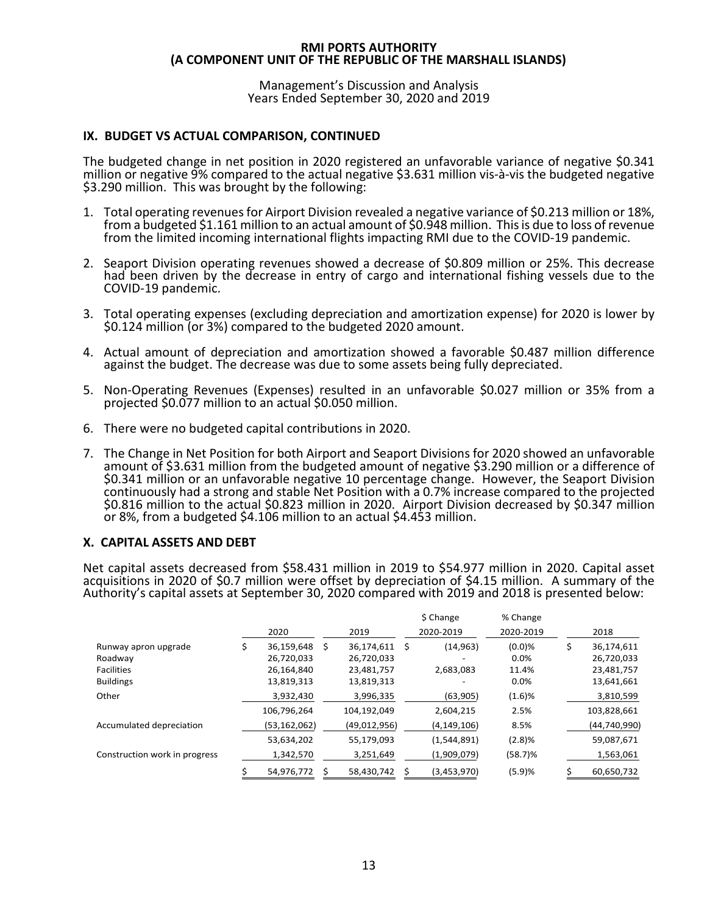Management's Discussion and Analysis Years Ended September 30, 2020 and 2019

#### **IX. BUDGET VS ACTUAL COMPARISON, CONTINUED**

The budgeted change in net position in 2020 registered an unfavorable variance of negative \$0.341 million or negative 9% compared to the actual negative \$3.631 million vis-à-vis the budgeted negative \$3.290 million. This was brought by the following:

- 1. Total operating revenues for Airport Division revealed a negative variance of \$0.213 million or 18%, from a budgeted \$1.161 million to an actual amount of \$0.948 million. This is due to loss of revenue from the limited incoming international flights impacting RMI due to the COVID-19 pandemic.
- 2. Seaport Division operating revenues showed a decrease of \$0.809 million or 25%. This decrease had been driven by the decrease in entry of cargo and international fishing vessels due to the COVID-19 pandemic.
- 3. Total operating expenses (excluding depreciation and amortization expense) for 2020 is lower by \$0.124 million (or 3%) compared to the budgeted 2020 amount.
- 4. Actual amount of depreciation and amortization showed a favorable \$0.487 million difference against the budget. The decrease was due to some assets being fully depreciated.
- 5. Non-Operating Revenues (Expenses) resulted in an unfavorable \$0.027 million or 35% from a projected \$0.077 million to an actual \$0.050 million.
- 6. There were no budgeted capital contributions in 2020.
- 7. The Change in Net Position for both Airport and Seaport Divisions for 2020 showed an unfavorable \$0.341 million or an unfavorable negative 10 percentage change. However, the Seaport Division continuously had a strong and stable Net Position with a 0.7% increase compared to the projected<br>\$0.816 million to the actual \$0.823 million in 2020. Airport Division decreased by \$0.347 million<br>or 8%, from a budgeted \$4.1

#### **X. CAPITAL ASSETS AND DEBT**

Net capital assets decreased from \$58.431 million in 2019 to \$54.977 million in 2020. Capital asset acquisitions in 2020 of \$0.7 million were offset by depreciation of \$4.15 million. A summary of the Authority's capital assets at September 30, 2020 compared with 2019 and 2018 is presented below:

|                               |    |                |   |              |      | \$ Change     | % Change  |   |                |
|-------------------------------|----|----------------|---|--------------|------|---------------|-----------|---|----------------|
|                               |    | 2020           |   | 2019         |      | 2020-2019     | 2020-2019 |   | 2018           |
| Runway apron upgrade          | Ş. | 36,159,648     | S | 36,174,611   | - \$ | (14, 963)     | (0.0)%    | s | 36,174,611     |
| Roadway                       |    | 26,720,033     |   | 26,720,033   |      |               | 0.0%      |   | 26,720,033     |
| <b>Facilities</b>             |    | 26,164,840     |   | 23,481,757   |      | 2,683,083     | 11.4%     |   | 23,481,757     |
| <b>Buildings</b>              |    | 13,819,313     |   | 13,819,313   |      |               | 0.0%      |   | 13,641,661     |
| Other                         |    | 3,932,430      |   | 3,996,335    |      | (63,905)      | (1.6)%    |   | 3,810,599      |
|                               |    | 106,796,264    |   | 104,192,049  |      | 2,604,215     | 2.5%      |   | 103,828,661    |
| Accumulated depreciation      |    | (53, 162, 062) |   | (49,012,956) |      | (4, 149, 106) | 8.5%      |   | (44, 740, 990) |
|                               |    | 53,634,202     |   | 55,179,093   |      | (1,544,891)   | (2.8)%    |   | 59,087,671     |
| Construction work in progress |    | 1,342,570      |   | 3,251,649    |      | (1,909,079)   | (58.7)%   |   | 1,563,061      |
|                               | \$ | 54,976,772     | Ŝ | 58,430,742   |      | (3,453,970)   | (5.9)%    |   | 60,650,732     |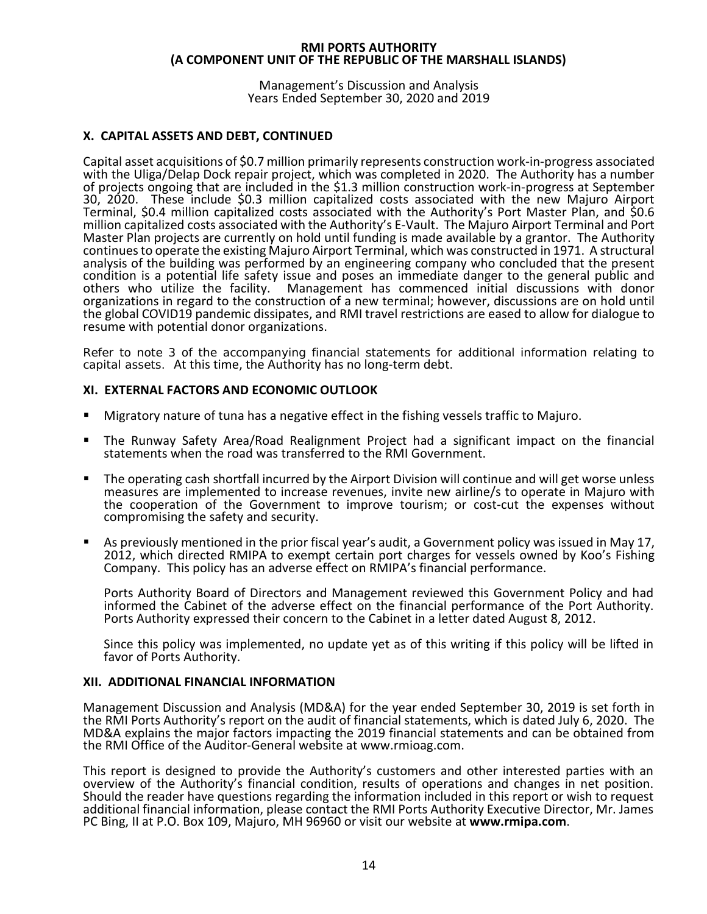Management's Discussion and Analysis Years Ended September 30, 2020 and 2019

#### **X. CAPITAL ASSETS AND DEBT, CONTINUED**

Capital asset acquisitions of \$0.7 million primarily represents construction work-in-progress associated with the Uliga/Delap Dock repair project, which was completed in 2020. The Authority has a number of projects ongoing that are included in the \$1.3 million construction work-in-progress at September of projects ongoing that are included in the \$1.3 million construction work-in-progress at September<br>30, 2020. These include \$0.3 million capitalized costs associated with the new Majuro Airport Terminal, \$0.4 million capitalized costs associated with the Authority's Port Master Plan, and \$0.6 million capitalized costs associated with the Authority's E-Vault. The Majuro Airport Terminal and Port Master Plan projects are currently on hold until funding is made available by a grantor. The Authority continues to operate the existing Majuro Airport Terminal, which was constructed in 1971. A structural analysis of the building was performed by an engineering company who concluded that the present condition is a potential life safety issue and poses an immediate danger to the general public and others who utilize the facility. Management has commenced initial discussions with donor organizations in regard to the construction of a new terminal; however, discussions are on hold until the global COVID19 pandemic dissipates, and RMI travel restrictions are eased to allow for dialogue to resume with potential donor organizations.

Refer to note 3 of the accompanying financial statements for additional information relating to capital assets. At this time, the Authority has no long-term debt.

#### **XI. EXTERNAL FACTORS AND ECONOMIC OUTLOOK**

- Migratory nature of tuna has a negative effect in the fishing vessels traffic to Majuro.
- The Runway Safety Area/Road Realignment Project had a significant impact on the financial statements when the road was transferred to the RMI Government.
- The operating cash shortfall incurred by the Airport Division will continue and will get worse unless measures are implemented to increase revenues, invite new airline/s to operate in Majuro with the cooperation of the Government to improve tourism; or cost-cut the expenses without compromising the safety and security.
- As previously mentioned in the prior fiscal year's audit, a Government policy was issued in May 17, 2012, which directed RMIPA to exempt certain port charges for vessels owned by Koo's Fishing Company. This policy has an adverse effect on RMIPA's financial performance.

Ports Authority Board of Directors and Management reviewed this Government Policy and had informed the Cabinet of the adverse effect on the financial performance of the Port Authority. Ports Authority expressed their concern to the Cabinet in a letter dated August 8, 2012.

Since this policy was implemented, no update yet as of this writing if this policy will be lifted in favor of Ports Authority.

#### **XII. ADDITIONAL FINANCIAL INFORMATION**

Management Discussion and Analysis (MD&A) for the year ended September 30, 2019 is set forth in the RMI Ports Authority's report on the audit of financial statements, which is dated July 6, 2020. The MD&A explains the major factors impacting the 2019 financial statements and can be obtained from the RMI Office of the Auditor-General website at www.rmioag.com.

This report is designed to provide the Authority's customers and other interested parties with an overview of the Authority's financial condition, results of operations and changes in net position. Should the reader have questions regarding the information included in this report or wish to request additional financial information, please contact the RMI Ports Authority Executive Director, Mr. James PC Bing, II at P.O. Box 109, Majuro, MH 96960 or visit our website at **www.rmipa.com**.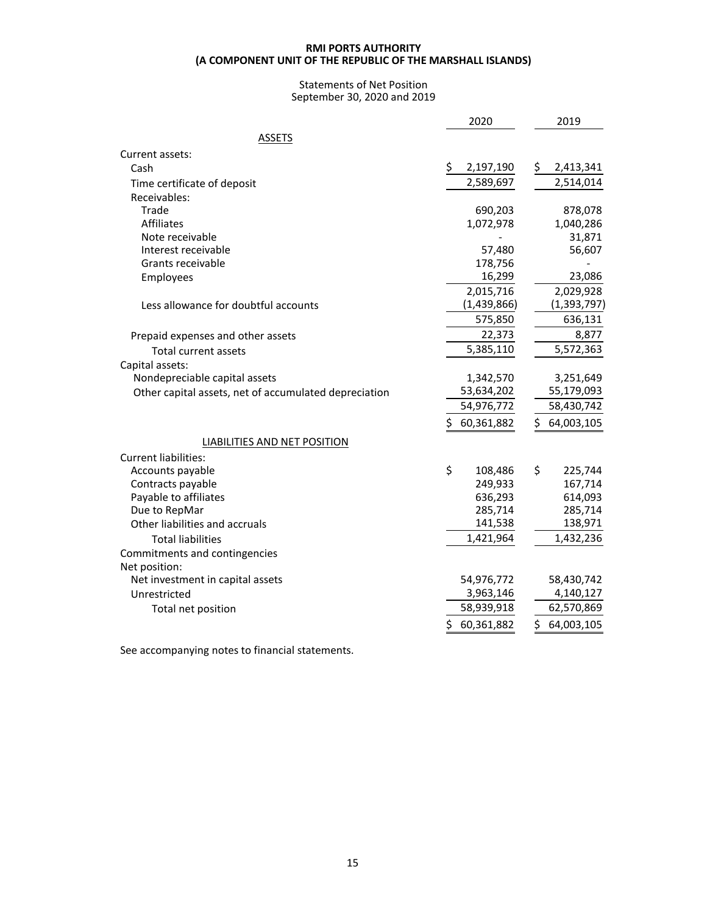#### Statements of Net Position September 30, 2020 and 2019

|                                                       | 2020             | 2019             |
|-------------------------------------------------------|------------------|------------------|
| <b>ASSETS</b>                                         |                  |                  |
| Current assets:                                       |                  |                  |
| Cash                                                  | \$<br>2,197,190  | 2,413,341<br>\$  |
| Time certificate of deposit                           | 2,589,697        | 2,514,014        |
| Receivables:                                          |                  |                  |
| Trade                                                 | 690,203          | 878,078          |
| Affiliates                                            | 1,072,978        | 1,040,286        |
| Note receivable                                       |                  | 31,871           |
| Interest receivable                                   | 57,480           | 56,607           |
| Grants receivable                                     | 178,756          |                  |
| Employees                                             | 16,299           | 23,086           |
|                                                       | 2,015,716        | 2,029,928        |
| Less allowance for doubtful accounts                  | (1,439,866)      | (1, 393, 797)    |
|                                                       | 575,850          | 636,131          |
| Prepaid expenses and other assets                     | 22,373           | 8,877            |
| Total current assets                                  | 5,385,110        | 5,572,363        |
| Capital assets:                                       |                  |                  |
| Nondepreciable capital assets                         | 1,342,570        | 3,251,649        |
| Other capital assets, net of accumulated depreciation | 53,634,202       | 55,179,093       |
|                                                       | 54,976,772       | 58,430,742       |
|                                                       | 60,361,882       | \$<br>64,003,105 |
| LIABILITIES AND NET POSITION                          |                  |                  |
| <b>Current liabilities:</b>                           |                  |                  |
| Accounts payable                                      | \$<br>108,486    | \$<br>225,744    |
| Contracts payable                                     | 249,933          | 167,714          |
| Payable to affiliates                                 | 636,293          | 614,093          |
| Due to RepMar                                         | 285,714          | 285,714          |
| Other liabilities and accruals                        | 141,538          | 138,971          |
| <b>Total liabilities</b>                              | 1,421,964        | 1,432,236        |
| Commitments and contingencies                         |                  |                  |
| Net position:                                         |                  |                  |
| Net investment in capital assets                      | 54,976,772       | 58,430,742       |
| Unrestricted                                          | 3,963,146        | 4,140,127        |
| Total net position                                    | 58,939,918       | 62,570,869       |
|                                                       | \$<br>60,361,882 | \$64,003,105     |

See accompanying notes to financial statements.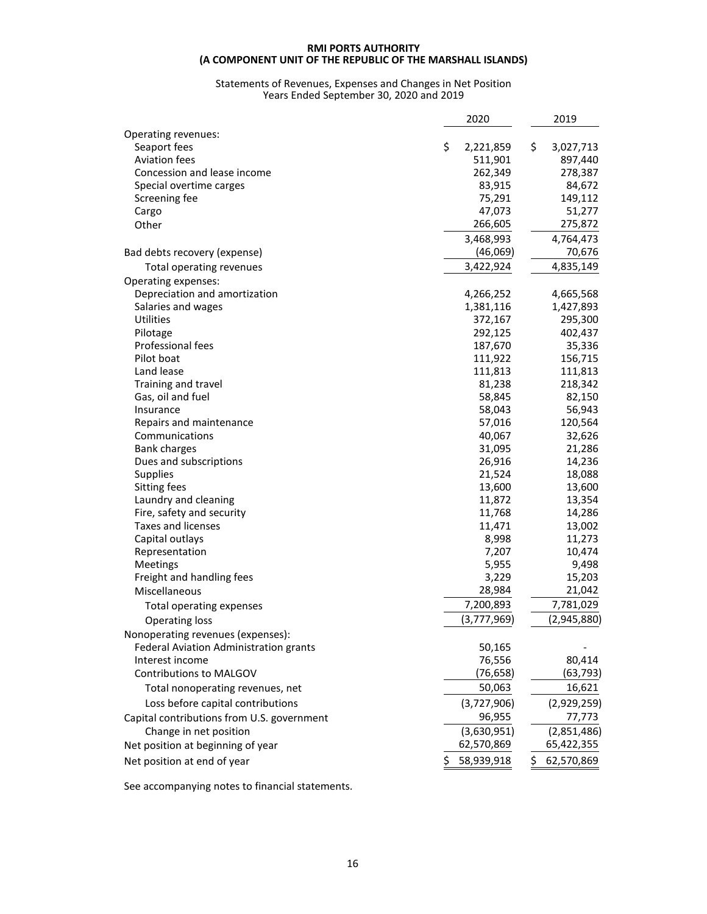#### Statements of Revenues, Expenses and Changes in Net Position Years Ended September 30, 2020 and 2019

|                                            |    | 2020                  | 2019                |
|--------------------------------------------|----|-----------------------|---------------------|
| Operating revenues:                        |    |                       |                     |
| Seaport fees                               | \$ | 2,221,859             | \$<br>3,027,713     |
| <b>Aviation fees</b>                       |    | 511,901               | 897,440             |
| Concession and lease income                |    | 262,349               | 278,387             |
| Special overtime carges                    |    | 83,915                | 84,672              |
| Screening fee                              |    | 75,291                | 149,112             |
| Cargo                                      |    | 47,073                | 51,277<br>275,872   |
| Other                                      |    | 266,605               |                     |
| Bad debts recovery (expense)               |    | 3,468,993<br>(46,069) | 4,764,473<br>70,676 |
|                                            |    | 3,422,924             | 4,835,149           |
| Total operating revenues                   |    |                       |                     |
| Operating expenses:                        |    |                       |                     |
| Depreciation and amortization              |    | 4,266,252             | 4,665,568           |
| Salaries and wages                         |    | 1,381,116             | 1,427,893           |
| Utilities                                  |    | 372,167               | 295,300             |
| Pilotage<br>Professional fees              |    | 292,125               | 402,437             |
|                                            |    | 187,670               | 35,336              |
| Pilot boat                                 |    | 111,922               | 156,715             |
| Land lease                                 |    | 111,813               | 111,813             |
| Training and travel                        |    | 81,238                | 218,342             |
| Gas, oil and fuel<br>Insurance             |    | 58,845                | 82,150<br>56,943    |
|                                            |    | 58,043                |                     |
| Repairs and maintenance<br>Communications  |    | 57,016<br>40,067      | 120,564<br>32,626   |
| Bank charges                               |    | 31,095                | 21,286              |
| Dues and subscriptions                     |    | 26,916                | 14,236              |
| Supplies                                   |    | 21,524                | 18,088              |
| Sitting fees                               |    | 13,600                | 13,600              |
| Laundry and cleaning                       |    | 11,872                | 13,354              |
| Fire, safety and security                  |    | 11,768                | 14,286              |
| <b>Taxes and licenses</b>                  |    | 11,471                | 13,002              |
| Capital outlays                            |    | 8,998                 | 11,273              |
| Representation                             |    | 7,207                 | 10,474              |
| Meetings                                   |    | 5,955                 | 9,498               |
| Freight and handling fees                  |    | 3,229                 | 15,203              |
| Miscellaneous                              |    | 28,984                | 21,042              |
| Total operating expenses                   |    | 7,200,893             | 7,781,029           |
| <b>Operating loss</b>                      |    | (3,777,969)           | (2,945,880)         |
| Nonoperating revenues (expenses):          |    |                       |                     |
| Federal Aviation Administration grants     |    | 50,165                |                     |
| Interest income                            |    | 76,556                | 80,414              |
| <b>Contributions to MALGOV</b>             |    | (76, 658)             | (63,793)            |
| Total nonoperating revenues, net           |    | 50,063                | 16,621              |
|                                            |    |                       |                     |
| Loss before capital contributions          |    | (3,727,906)           | (2,929,259)         |
| Capital contributions from U.S. government |    | 96,955                | 77,773              |
| Change in net position                     |    | (3,630,951)           | (2,851,486)         |
| Net position at beginning of year          |    | 62,570,869            | 65,422,355          |
| Net position at end of year                | S. | 58,939,918            | \$<br>62,570,869    |

See accompanying notes to financial statements.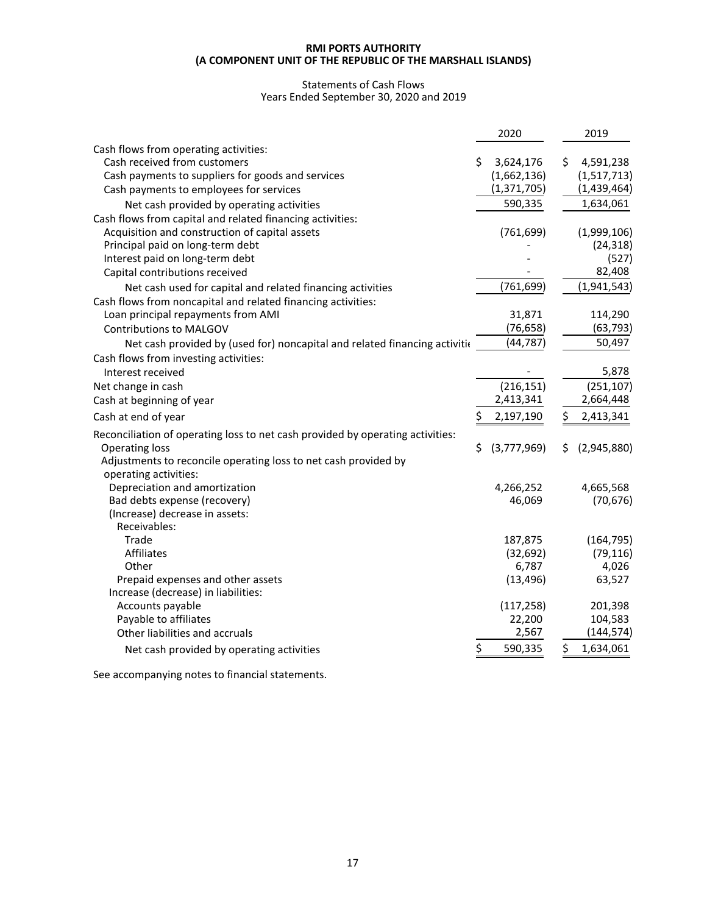#### Statements of Cash Flows Years Ended September 30, 2020 and 2019

|                                                                                | 2020                 |    | 2019                  |
|--------------------------------------------------------------------------------|----------------------|----|-----------------------|
| Cash flows from operating activities:                                          |                      |    |                       |
| Cash received from customers                                                   | \$<br>3,624,176      | \$ | 4,591,238             |
| Cash payments to suppliers for goods and services                              | (1,662,136)          |    | (1,517,713)           |
| Cash payments to employees for services                                        | (1, 371, 705)        |    | (1,439,464)           |
| Net cash provided by operating activities                                      | 590,335              |    | 1,634,061             |
| Cash flows from capital and related financing activities:                      |                      |    |                       |
| Acquisition and construction of capital assets                                 | (761, 699)           |    | (1,999,106)           |
| Principal paid on long-term debt                                               |                      |    | (24, 318)             |
| Interest paid on long-term debt                                                |                      |    | (527)                 |
| Capital contributions received                                                 |                      |    | 82,408                |
| Net cash used for capital and related financing activities                     | (761, 699)           |    | (1,941,543)           |
| Cash flows from noncapital and related financing activities:                   |                      |    |                       |
| Loan principal repayments from AMI                                             | 31,871               |    | 114,290               |
| <b>Contributions to MALGOV</b>                                                 | (76, 658)            |    | (63, 793)             |
| Net cash provided by (used for) noncapital and related financing activition    | (44, 787)            |    | 50,497                |
| Cash flows from investing activities:                                          |                      |    |                       |
| Interest received                                                              |                      |    | 5,878                 |
| Net change in cash                                                             | (216, 151)           |    | (251, 107)            |
| Cash at beginning of year                                                      | 2,413,341            |    | 2,664,448             |
| Cash at end of year                                                            | \$<br>2,197,190      | \$ | 2,413,341             |
| Reconciliation of operating loss to net cash provided by operating activities: |                      |    |                       |
| <b>Operating loss</b>                                                          | \$<br>(3,777,969)    | S  | (2,945,880)           |
| Adjustments to reconcile operating loss to net cash provided by                |                      |    |                       |
| operating activities:                                                          |                      |    |                       |
| Depreciation and amortization                                                  | 4,266,252            |    | 4,665,568             |
| Bad debts expense (recovery)                                                   | 46,069               |    | (70, 676)             |
| (Increase) decrease in assets:                                                 |                      |    |                       |
| Receivables:                                                                   |                      |    |                       |
| Trade                                                                          | 187,875              |    | (164, 795)            |
| Affiliates                                                                     | (32, 692)            |    | (79, 116)             |
| Other                                                                          | 6,787                |    | 4,026                 |
| Prepaid expenses and other assets                                              | (13, 496)            |    | 63,527                |
| Increase (decrease) in liabilities:                                            |                      |    |                       |
| Accounts payable<br>Payable to affiliates                                      | (117, 258)<br>22,200 |    | 201,398               |
|                                                                                | 2,567                |    | 104,583<br>(144, 574) |
| Other liabilities and accruals                                                 |                      |    |                       |
| Net cash provided by operating activities                                      | \$<br>590,335        | \$ | 1,634,061             |

See accompanying notes to financial statements.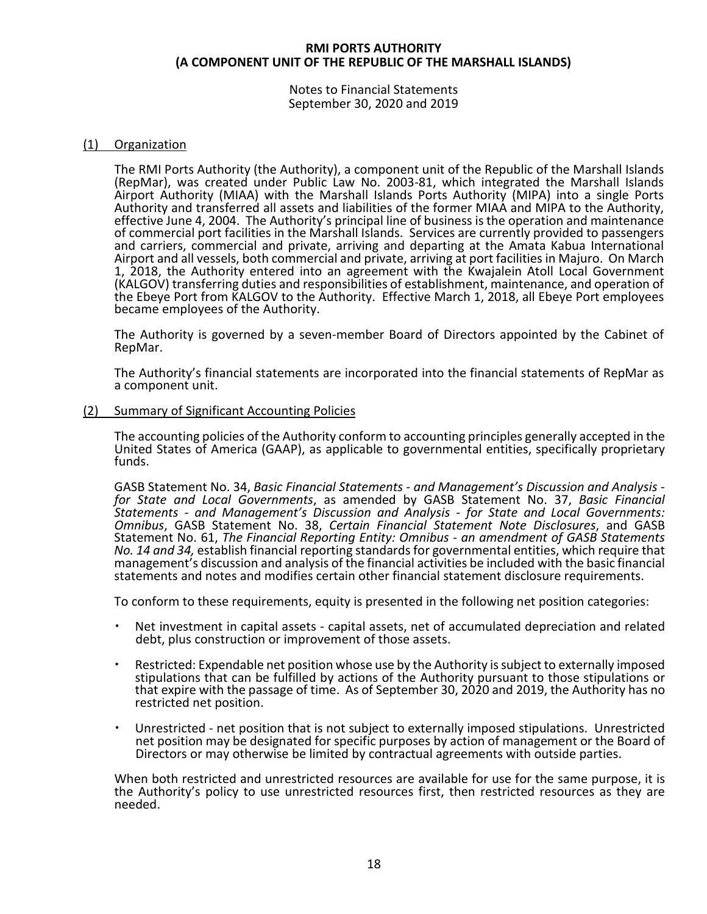Notes to Financial Statements September 30, 2020 and 2019

#### (1) Organization

The RMI Ports Authority (the Authority), a component unit of the Republic of the Marshall Islands (RepMar), was created under Public Law No. 2003-81, which integrated the Marshall Islands Airport Authority (MIAA) with the Marshall Islands Ports Authority (MIPA) into a single Ports Authority and transferred all assets and liabilities of the former MIAA and MIPA to the Authority, effective June 4, 2004. The Authority's principal line of business is the operation and maintenance of commercial port facilities in the Marshall Islands. Services are currently provided to passengers and carriers, commercial and private, arriving and departing at the Amata Kabua International Airport and all vessels, both commercial and private, arriving at port facilities in Majuro. On March 1, 2018, the Authority entered into an agreement with the Kwajalein Atoll Local Government (KALGOV) transferring duties and responsibilities of establishment, maintenance, and operation of the Ebeye Port from KALGOV to the Authority. Effective March 1, 2018, all Ebeye Port employees became employees of the Authority.

The Authority is governed by a seven-member Board of Directors appointed by the Cabinet of RepMar.

The Authority's financial statements are incorporated into the financial statements of RepMar as a component unit.

#### (2) Summary of Significant Accounting Policies

The accounting policies of the Authority conform to accounting principles generally accepted in the United States of America (GAAP), as applicable to governmental entities, specifically proprietary funds.

GASB Statement No. 34, *Basic Financial Statements - and Management's Discussion and Analysis - for State and Local Governments*, as amended by GASB Statement No. 37, *Basic Financial Statements - and Management's Discussion and Analysis - for State and Local Governments: Omnibus*, GASB Statement No. 38, *Certain Financial Statement Note Disclosures*, and GASB Statement No. 61, *The Financial Reporting Entity: Omnibus - an amendment of GASB Statements No. 14 and 34,* establish financial reporting standards for governmental entities, which require that management's discussion and analysis of the financial activities be included with the basic financial statements and notes and modifies certain other financial statement disclosure requirements.

To conform to these requirements, equity is presented in the following net position categories:

- Net investment in capital assets capital assets, net of accumulated depreciation and related debt, plus construction or improvement of those assets.
- Restricted: Expendable net position whose use by the Authority is subject to externally imposed stipulations that can be fulfilled by actions of the Authority pursuant to those stipulations or that expire with the passage of time. As of September 30, 2020 and 2019, the Authority has no restricted net position.
- Unrestricted net position that is not subject to externally imposed stipulations. Unrestricted net position may be designated for specific purposes by action of management or the Board of Directors or may otherwise be limited by contractual agreements with outside parties.

When both restricted and unrestricted resources are available for use for the same purpose, it is the Authority's policy to use unrestricted resources first, then restricted resources as they are needed.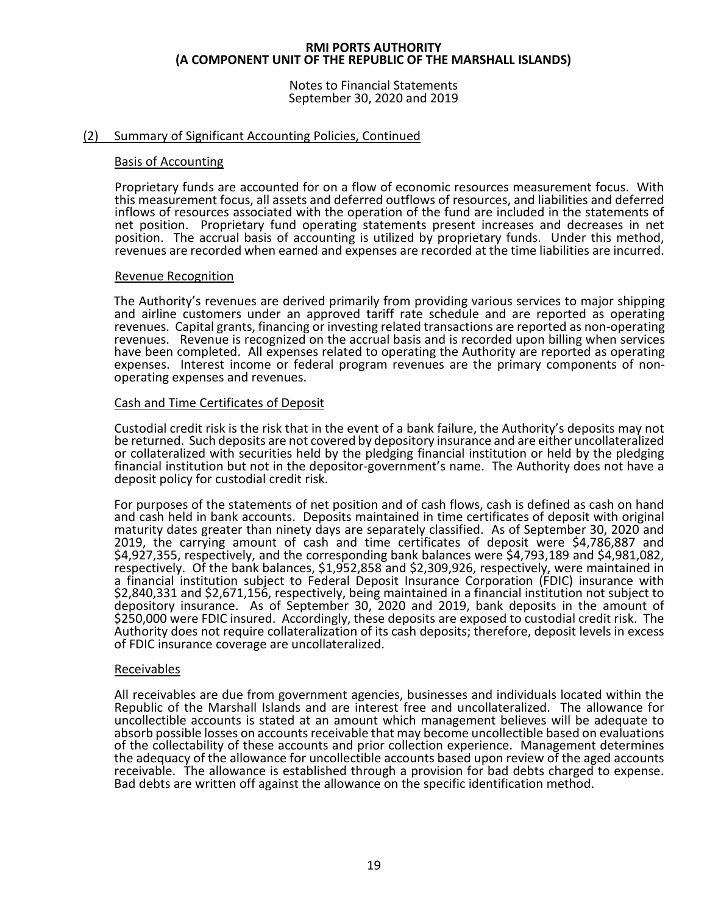Notes to Financial Statements September 30, 2020 and 2019

#### (2) Summary of Significant Accounting Policies, Continued

#### Basis of Accounting

Proprietary funds are accounted for on a flow of economic resources measurement focus. With this measurement focus, all assets and deferred outflows of resources, and liabilities and deferred inflows of resources associated with the operation of the fund are included in the statements of net position. Proprietary fund operating statements present increases and decreases in net position. The accrual basis of accounting is utilized by proprietary funds. Under this method, revenues are recorded when earned and expenses are recorded at the time liabilities are incurred.

#### Revenue Recognition

The Authority's revenues are derived primarily from providing various services to major shipping and airline customers under an approved tariff rate schedule and are reported as operating revenues. Capital grants, financing or investing related transactions are reported as non-operating revenues. Revenue is recognized on the accrual basis and is recorded upon billing when services have been completed. All expenses related to operating the Authority are reported as operating expenses. Interest income or federal program revenues are the primary components of non-<br>operating expenses and revenues.

#### Cash and Time Certificates of Deposit

Custodial credit risk is the risk that in the event of a bank failure, the Authority's deposits may not be returned. Such deposits are not covered by depository insurance and are either uncollateralized or collateralized with securities held by the pledging financial institution or held by the pledging financial institution but not in the depositor-government's name. The Authority does not have a deposit policy for custodial credit risk.

For purposes of the statements of net position and of cash flows, cash is defined as cash on hand and cash held in bank accounts. Deposits maintained in time certificates of deposit with original maturity dates greater than ninety days are separately classified. As of September 30, 2020 and 2019, the carrying amount of cash and time certificates of deposit were \$4,786,887 and \$4,927,355, respectively, and the corresponding bank balances were \$4,793,189 and \$4,981,082,<br>respectively. Of the bank balances, \$1,952,858 and \$2,309,926, respectively, were maintained in a financial institution subject to Federal Deposit Insurance Corporation (FDIC) insurance with \$2,840,331 and \$2,671,156, respectively, being maintained in a financial institution not subject to depository insurance. As of September 30, 2020 and 2019, bank deposits in the amount of \$250,000 were FDIC insured. Accordingly, these deposits are exposed to custodial credit risk. The Authority does not require collateralization of its cash deposits; therefore, deposit levels in excess of FDIC insurance coverage are uncollateralized.

#### Receivables

All receivables are due from government agencies, businesses and individuals located within the Republic of the Marshall Islands and are interest free and uncollateralized. The allowance for uncollectible accounts is stated at an amount which management believes will be adequate to absorb possible losses on accounts receivable that may become uncollectible based on evaluations of the collectability of these accounts and prior collection experience. Management determines the adequacy of the allowance for uncollectible accounts based upon review of the aged accounts receivable. The allowance is established through a provision for bad debts charged to expense. Bad debts are written off against the allowance on the specific identification method.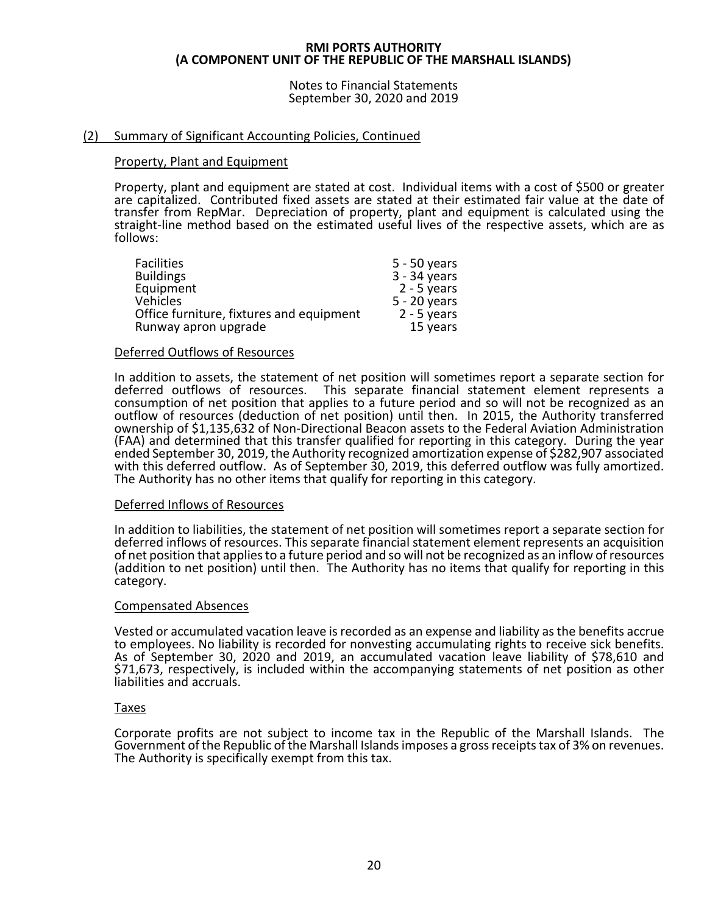Notes to Financial Statements September 30, 2020 and 2019

#### (2) Summary of Significant Accounting Policies, Continued

#### Property, Plant and Equipment

Property, plant and equipment are stated at cost. Individual items with a cost of \$500 or greater are capitalized. Contributed fixed assets are stated at their estimated fair value at the date of transfer from RepMar. Depreciation of property, plant and equipment is calculated using the straight-line method based on the estimated useful lives of the respective assets, which are as follows:

| <b>Facilities</b>                        | 5 - 50 years  |
|------------------------------------------|---------------|
| <b>Buildings</b>                         | 3 - 34 years  |
| Equipment                                | $2 - 5$ years |
| <b>Vehicles</b>                          | 5 - 20 years  |
| Office furniture, fixtures and equipment | $2 - 5$ years |
| Runway apron upgrade                     | 15 years      |

#### Deferred Outflows of Resources

In addition to assets, the statement of net position will sometimes report a separate section for deferred outflows of resources. This separate financial statement element represents a consumption of net position that applies to a future period and so will not be recognized as an outflow of resources (deduction of net position) until then. In 2015, the Authority transferred ownership of \$1,135,632 of Non-Directional Beacon assets to the Federal Aviation Administration (FAA) and determined that this transfer qualified for reporting in this category. During the year ended September 30, 2019, the Authority recognized amortization expense of \$282,907 associated with this deferred outflow. As of September 30, 2019, this deferred outflow was fully amortized. The Authority has no other items that qualify for reporting in this category.

#### Deferred Inflows of Resources

In addition to liabilities, the statement of net position will sometimes report a separate section for deferred inflows of resources. This separate financial statement element represents an acquisition of net position that applies to a future period and so will not be recognized as an inflow of resources (addition to net position) until then. The Authority has no items that qualify for reporting in this category.

#### Compensated Absences

Vested or accumulated vacation leave is recorded as an expense and liability as the benefits accrue to employees. No liability is recorded for nonvesting accumulating rights to receive sick benefits. As of September 30, 2020 and 2019, an accumulated vacation leave liability of \$78,610 and \$71,673, respectively, is included within the accompanying statements of net position as other liabilities and accruals.

#### Taxes

Corporate profits are not subject to income tax in the Republic of the Marshall Islands. The Government of the Republic of the Marshall Islands imposes a gross receipts tax of 3% on revenues. The Authority is specifically exempt from this tax.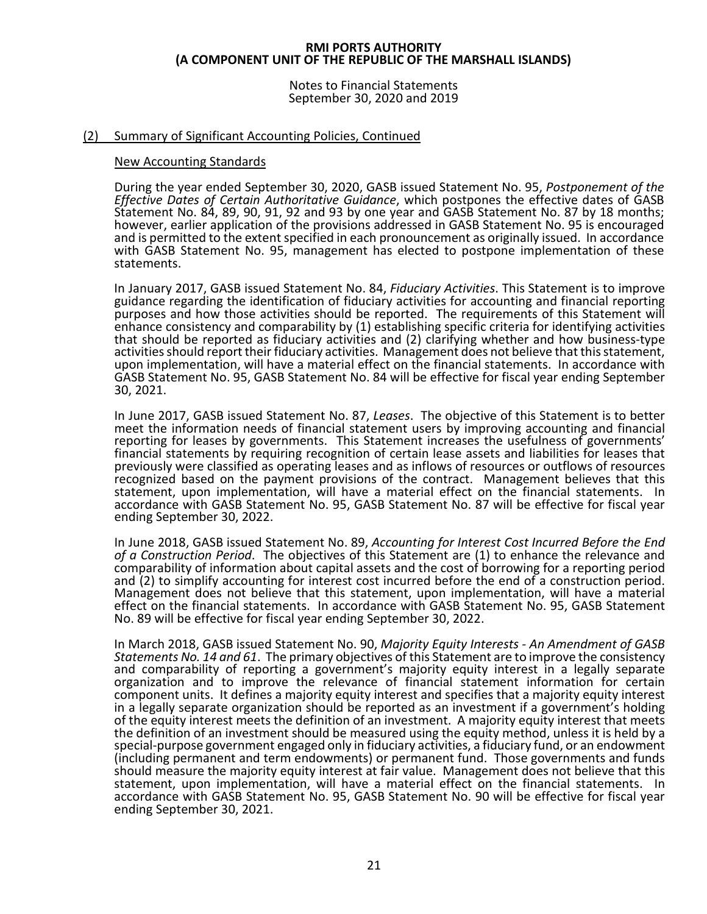Notes to Financial Statements September 30, 2020 and 2019

#### (2) Summary of Significant Accounting Policies, Continued

#### New Accounting Standards

During the year ended September 30, 2020, GASB issued Statement No. 95, *Postponement of the Effective Dates of Certain Authoritative Guidance*, which postpones the effective dates of GASB Statement No. 84, 89, 90, 91, 92 and 93 by one year and GASB Statement No. 87 by 18 months; however, earlier application of the provisions addressed in GASB Statement No. 95 is encouraged and is permitted to the extent specified in each pronouncement as originally issued. In accordance with GASB Statement No. 95, management has elected to postpone implementation of these statements.

In January 2017, GASB issued Statement No. 84, *Fiduciary Activities*. This Statement is to improve guidance regarding the identification of fiduciary activities for accounting and financial reporting purposes and how those activities should be reported. The requirements of this Statement will enhance consistency and comparability by (1) establishing specific criteria for identifying activities that should be reported as fiduciary activities and (2) clarifying whether and how business-type upon implementation, will have a material effect on the financial statements. In accordance with GASB Statement No. 95, GASB Statement No. 84 will be effective for fiscal year ending September 30, 2021.

In June 2017, GASB issued Statement No. 87, *Leases*. The objective of this Statement is to better meet the information needs of financial statement users by improving accounting and financial reporting for leases by governments. This Statement increases the usefulness of governments' financial statements by requiring recognition of certain lease assets and liabilities for leases that previously were classified as operating leases and as inflows of resources or outflows of resources recognized based on the payment provisions of the contract. Management believes that this statement, upon implementation, will have a material effect on the financial statements. In accordance with GASB Statement No. 95, GASB Statement No. 87 will be effective for fiscal year ending September 30, 2022.

In June 2018, GASB issued Statement No. 89, *Accounting for Interest Cost Incurred Before the End of a Construction Period*. The objectives of this Statement are (1) to enhance the relevance and comparability of information about capital assets and the cost of borrowing for a reporting period and (2) to simplify accounting for interest cost incurred before the end of a construction period. Management does not believe that this statement, upon implementation, will have a material effect on the financial statements. In accordance with GASB Statement No. 95, GASB Statement No. 89 will be effective for fiscal year ending September 30, 2022.

In March 2018, GASB issued Statement No. 90, *Majority Equity Interests - An Amendment of GASB Statements No. 14 and 61*. The primary objectives of this Statement are to improve the consistency and comparability of reporting a government's majority equity interest in a legally separate organization and to improve the relevance of financial statement information for certain component units. It defines a majority equity interest and specifies that a majority equity interest in a legally separate organization should be reported as an investment if a government's holding of the equity interest meets the definition of an investment. A majority equity interest that meets the definition of an investment should be measured using the equity method, unless it is held by a special-purpose government engaged only in fiduciary activities, a fiduciary fund, or an endowment (including permanent and term endowments) or permanent fund. Those governments and funds should measure the majority equity interest at fair value. Management does not believe that this statement, upon implementation, will have a material effect on the financial statements. In accordance with GASB Statement No. 95, GASB Statement No. 90 will be effective for fiscal year ending September 30, 2021.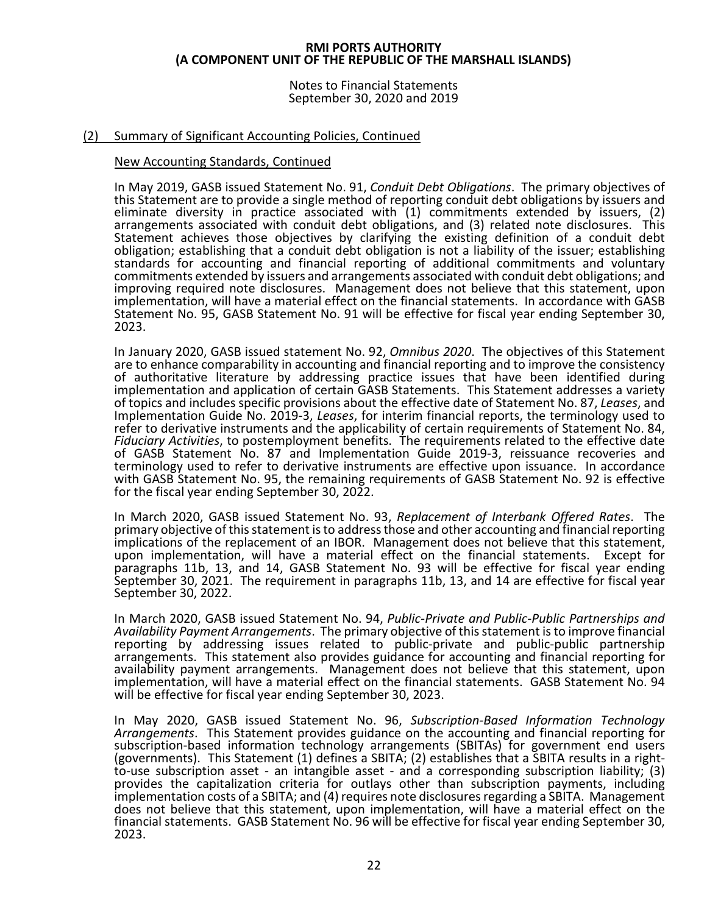Notes to Financial Statements September 30, 2020 and 2019

#### (2) Summary of Significant Accounting Policies, Continued

#### New Accounting Standards, Continued

In May 2019, GASB issued Statement No. 91, *Conduit Debt Obligations*. The primary objectives of this Statement are to provide a single method of reporting conduit debt obligations by issuers and eliminate diversity in practice associated with (1) commitments extended by issuers, (2) arrangements associated with conduit debt obligations, and (3) related note disclosures. This Statement achieves those objectives by clarifying the existing definition of a conduit debt obligation; establishing that a conduit debt obligation is not a liability of the issuer; establishing standards for accounting and financial reporting of additional commitments and voluntary commitments extended by issuers and arrangements associated with conduit debt obligations; and improving required note disclosures. Management does not believe that this statement, upon implementation, will have a material effect on the financial statements. In accordance with GASB Statement No. 95, GASB Statement No. 91 will be effective for fiscal year ending September 30, 2023.

In January 2020, GASB issued statement No. 92, *Omnibus 2020*. The objectives of this Statement are to enhance comparability in accounting and financial reporting and to improve the consistency of authoritative literature by addressing practice issues that have been identified during implementation and application of certain GASB Statements. This Statement addresses a variety of topics and includes specific provisions about the effective date of Statement No. 87, *Leases*, and Implementation Guide No. 2019-3, *Leases*, for interim financial reports, the terminology used to Fiduciary Activities, to postemployment benefits. The requirements related to the effective date of GASB Statement No. 87 and Implementation Guide 2019-3, reissuance recoveries and terminology used to refer to derivative instruments are effective upon issuance. In accordance with GASB Statement No. 95, the remaining requirements of GASB Statement No. 92 is effective for the fiscal year ending September 30, 2022.

In March 2020, GASB issued Statement No. 93, *Replacement of Interbank Offered Rates*. The primary objective of this statement is to address those and other accounting and financial reporting implications of the replacement of an IBOR. Management does not believe that this statement, upon implementation, will have a material effect on the financial statements. Except for paragraphs 11b, 13, and 14, GASB Statement No. 93 will be effective for fiscal year ending September 30, 2021. The requirement in paragraphs 11b, 13, and 14 are effective for fiscal year September 30, 2022.

In March 2020, GASB issued Statement No. 94, *Public-Private and Public-Public Partnerships and Availability Payment Arrangements*. The primary objective of this statement is to improve financial reporting by addressing issues related to public-private and public-public partnership arrangements. This statement also provides guidance for accounting and financial reporting for availability payment arrangements. Management does not believe that this statement, upon implementation, will have a material effect on the financial statements. GASB Statement No. 94 will be effective for fiscal year ending September 30, 2023.

In May 2020, GASB issued Statement No. 96, *Subscription-Based Information Technology Arrangements*. This Statement provides guidance on the accounting and financial reporting for subscription-based information technology arrangements (SBITAs) for government end users (governments). This Statement (1) defines a SBITA; (2) establishes that a SBITA results in a rightto-use subscription asset - an intangible asset - and a corresponding subscription liability; (3) provides the capitalization criteria for outlays other than subscription payments, including implementation costs of a SBITA; and (4) requires note disclosures regarding a SBITA. Management does not believe that this statement, upon implementation, will have a material effect on the financial statements. GASB Statement No. 96 will be effective for fiscal year ending September 30, 2023.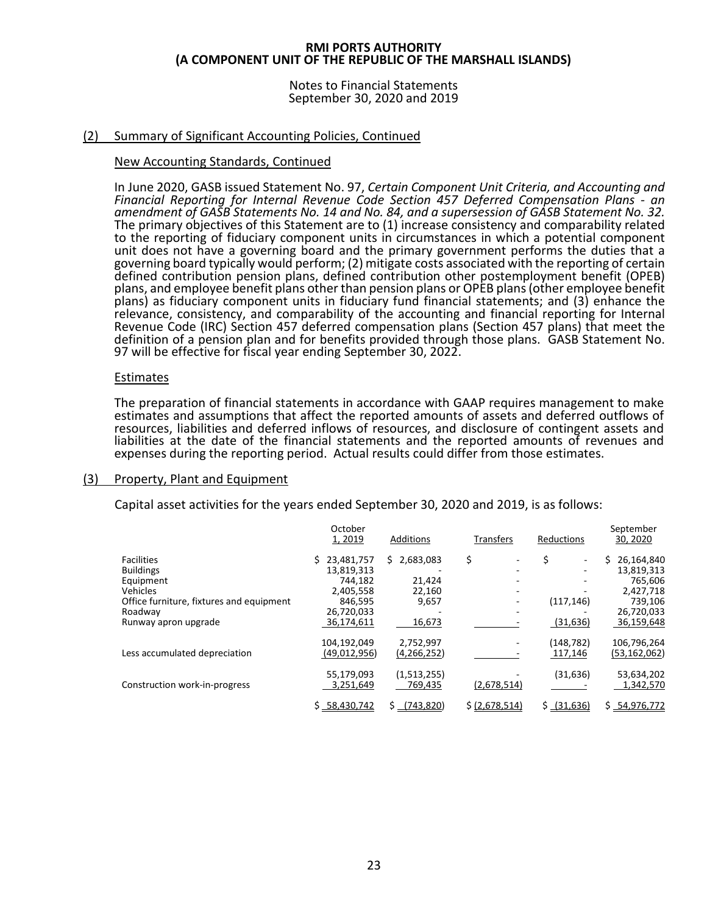Notes to Financial Statements September 30, 2020 and 2019

#### (2) Summary of Significant Accounting Policies, Continued

#### New Accounting Standards, Continued

In June 2020, GASB issued Statement No. 97, *Certain Component Unit Criteria, and Accounting and Financial Reporting for Internal Revenue Code Section 457 Deferred Compensation Plans - an*  The primary objectives of this Statement are to (1) increase consistency and comparability related to the reporting of fiduciary component units in circumstances in which a potential component unit does not have a governing board and the primary government performs the duties that a governing board typically would perform; (2) mitigate costs associated with the reporting of certain defined contribution pension plans, defined contribution other postemployment benefit (OPEB) plans, and employee benefit plans other than pension plans or OPEB plans (other employee benefit plans) as fiduciary component units in fiduciary fund financial statements; and (3) enhance the relevance, consistency, and comparability of the accounting and financial reporting for Internal Revenue Code (IRC) Section 457 deferred compensation plans (Section 457 plans) that meet the definition of a pension plan and for benefits provided through those plans. GASB Statement No. 97 will be effective for fiscal year ending September 30, 2022.

#### Estimates

The preparation of financial statements in accordance with GAAP requires management to make estimates and assumptions that affect the reported amounts of assets and deferred outflows of resources, liabilities and deferred inflows of resources, and disclosure of contingent assets and liabilities at the date of the financial statements and the reported amounts of revenues and expenses during the reporting period. Actual results could differ from those estimates.

#### (3) Property, Plant and Equipment

Capital asset activities for the years ended September 30, 2020 and 2019, is as follows:

|                                                     | October<br>1, 2019             | Additions              | Transfers                      | Reductions              | September<br>30, 2020         |
|-----------------------------------------------------|--------------------------------|------------------------|--------------------------------|-------------------------|-------------------------------|
| <b>Facilities</b><br><b>Buildings</b>               | 23,481,757<br>Ś.<br>13,819,313 | 2,683,083<br>Ś.        | \$<br>$\overline{\phantom{a}}$ | \$                      | 26,164,840<br>S<br>13,819,313 |
| Equipment<br>Vehicles                               | 744,182<br>2,405,558           | 21,424<br>22,160       |                                |                         | 765,606<br>2,427,718          |
| Office furniture, fixtures and equipment<br>Roadway | 846.595<br>26,720,033          | 9,657                  |                                | (117, 146)              | 739,106<br>26,720,033         |
| Runway apron upgrade                                | 36,174,611<br>104,192,049      | 16,673<br>2,752,997    |                                | (31, 636)<br>(148, 782) | 36,159,648<br>106,796,264     |
| Less accumulated depreciation                       | (49,012,956)                   | (4, 266, 252)          |                                | 117,146                 | (53, 162, 062)                |
| Construction work-in-progress                       | 55,179,093<br>3,251,649        | (1,513,255)<br>769,435 | (2,678,514)                    | (31, 636)               | 53,634,202<br>1,342,570       |
|                                                     | \$58,430,742                   | (743, 820)<br>s        | \$ (2,678,514)                 | \$ (31,636)             | 54,976,772<br>S.              |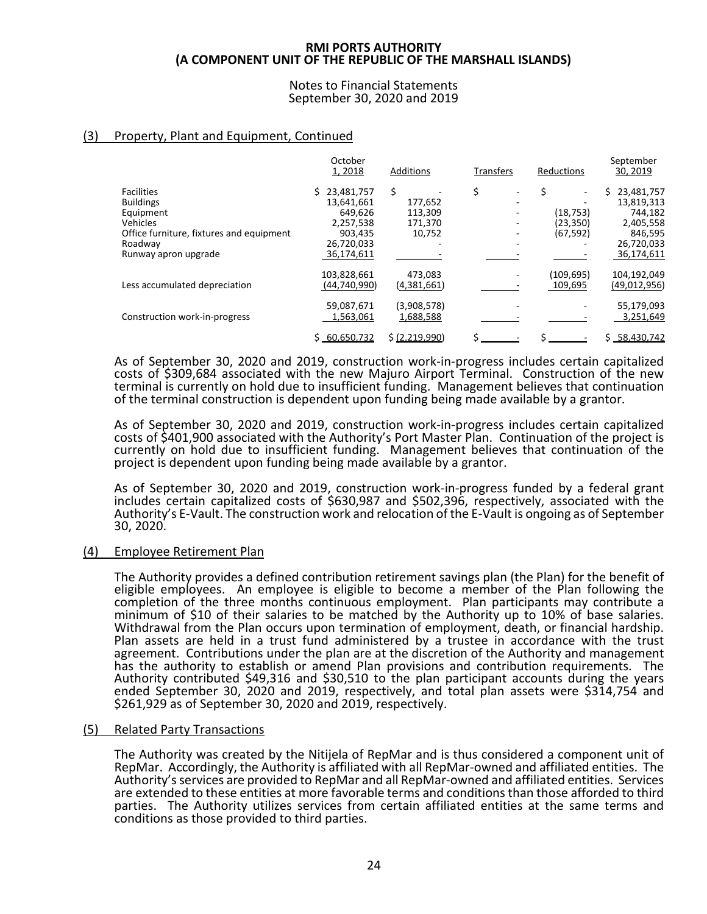#### Notes to Financial Statements September 30, 2020 and 2019

#### (3) Property, Plant and Equipment, Continued

|                                                                                                                                                      | October<br>1, 2018                                                                            | Additions                                          | <b>Transfers</b> | Reductions                               | September<br>30, 2019                                                                         |
|------------------------------------------------------------------------------------------------------------------------------------------------------|-----------------------------------------------------------------------------------------------|----------------------------------------------------|------------------|------------------------------------------|-----------------------------------------------------------------------------------------------|
| <b>Facilities</b><br><b>Buildings</b><br>Equipment<br><b>Vehicles</b><br>Office furniture, fixtures and equipment<br>Roadway<br>Runway apron upgrade | 23,481,757<br>S.<br>13,641,661<br>649.626<br>2,257,538<br>903.435<br>26,720,033<br>36,174,611 | Ś.<br>177,652<br>113,309<br>171,370<br>10,752      | \$<br>٠          | ۰.<br>(18, 753)<br>(23,350)<br>(67, 592) | 23,481,757<br>Ś.<br>13,819,313<br>744,182<br>2,405,558<br>846,595<br>26,720,033<br>36,174,611 |
| Less accumulated depreciation<br>Construction work-in-progress                                                                                       | 103,828,661<br>(44,740,990)<br>59,087,671<br>1,563,061                                        | 473.083<br>(4,381,661)<br>(3,908,578)<br>1,688,588 |                  | (109, 695)<br>109,695                    | 104,192,049<br>(49,012,956)<br>55,179,093<br>3,251,649                                        |
|                                                                                                                                                      | \$ 60,650,732                                                                                 | \$ (2,219,990)                                     |                  |                                          | \$ 58,430,742                                                                                 |

As of September 30, 2020 and 2019, construction work-in-progress includes certain capitalized costs of \$309,684 associated with the new Majuro Airport Terminal. Construction of the new terminal is currently on hold due to insufficient funding. Management believes that continuation of the terminal construction is dependent upon funding being made available by a grantor.

As of September 30, 2020 and 2019, construction work-in-progress includes certain capitalized costs of \$401,900 associated with the Authority's Port Master Plan. Continuation of the project is currently on hold due to insufficient funding. Management believes that continuation of the project is dependent upon funding being made available by a grantor.

As of September 30, 2020 and 2019, construction work-in-progress funded by a federal grant includes certain capitalized costs of \$630,987 and \$502,396, respectively, associated with the Authority's E-Vault. The construction work and relocation of the E-Vault is ongoing as of September 30, 2020.

#### (4) Employee Retirement Plan

The Authority provides a defined contribution retirement savings plan (the Plan) for the benefit of eligible employees. An employee is eligible to become a member of the Plan following the completion of the three months continuous employment. Plan participants may contribute a minimum of \$10 of their salaries to be matched by the Authority up to 10% of base salaries. Withdrawal from the Plan occurs upon termination of employment, death, or financial hardship. Plan assets are held in a trust fund administered by a trustee in accordance with the trust agreement. Contributions under the plan are at the discretion of the Authority and management has the authority to establish or amend Plan provisions and contribution requirements. The Authority contributed \$49,316 and \$30,510 to the plan participant accounts during the years ended September 30, 2020 and 2019, respectively, and total plan assets were \$314,754 and \$261,929 as of September 30, 2020 and 2019, respectively.

#### (5) Related Party Transactions

The Authority was created by the Nitijela of RepMar and is thus considered a component unit of RepMar. Accordingly, the Authority is affiliated with all RepMar-owned and affiliated entities. The Authority's services are provided to RepMar and all RepMar-owned and affiliated entities. Services are extended to these entities at more favorable terms and conditions than those afforded to third parties. The Authority utilizes services from certain affiliated entities at the same terms and conditions as those provided to third parties.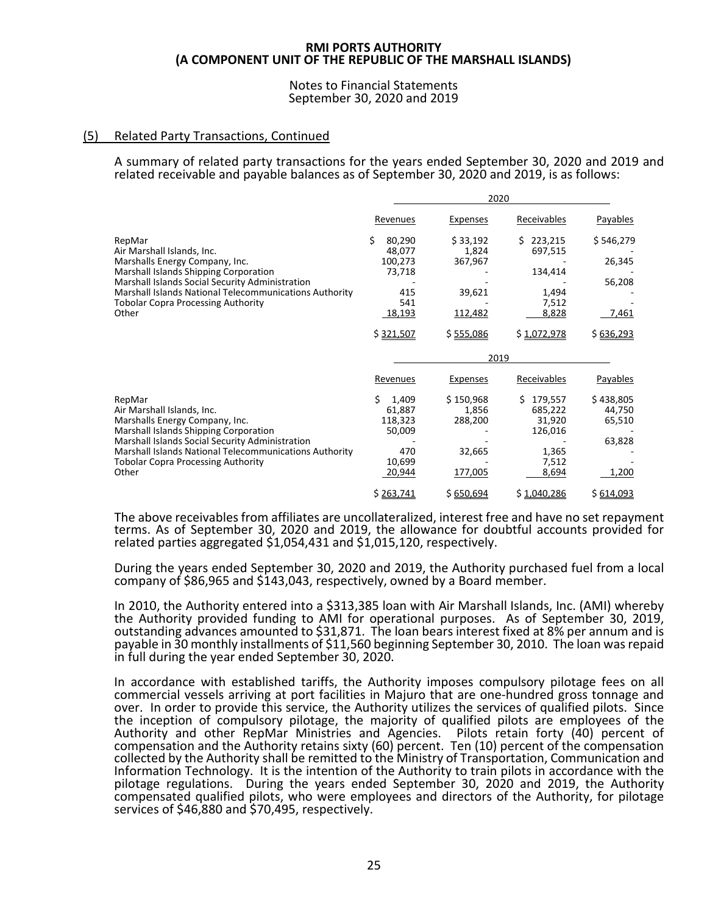#### Notes to Financial Statements September 30, 2020 and 2019

#### (5) Related Party Transactions, Continued

A summary of related party transactions for the years ended September 30, 2020 and 2019 and related receivable and payable balances as of September 30, 2020 and 2019, is as follows:

|                                                        | 2020                  |                   |                          |           |  |  |  |
|--------------------------------------------------------|-----------------------|-------------------|--------------------------|-----------|--|--|--|
|                                                        | Revenues              | Expenses          | Receivables              | Payables  |  |  |  |
| RepMar<br>Air Marshall Islands, Inc.                   | Ś<br>80,290<br>48,077 | \$33,192<br>1,824 | 223,215<br>Ś.<br>697,515 | \$546,279 |  |  |  |
| Marshalls Energy Company, Inc.                         | 100,273               | 367,967           |                          | 26,345    |  |  |  |
| Marshall Islands Shipping Corporation                  | 73,718                |                   | 134,414                  |           |  |  |  |
| Marshall Islands Social Security Administration        |                       |                   |                          | 56,208    |  |  |  |
| Marshall Islands National Telecommunications Authority | 415                   | 39,621            | 1,494                    |           |  |  |  |
| <b>Tobolar Copra Processing Authority</b>              | 541                   |                   | 7,512                    |           |  |  |  |
| Other                                                  | 18,193                | 112,482           | 8,828                    | 7,461     |  |  |  |
|                                                        | \$321,507             | \$555,086         | \$1,072,978              | \$636,293 |  |  |  |
|                                                        |                       | 2019              |                          |           |  |  |  |
|                                                        | Revenues              | Expenses          | Receivables              | Payables  |  |  |  |
| RepMar                                                 | Š.<br>1,409           | \$150,968         | Ś<br>179,557             | \$438,805 |  |  |  |
| Air Marshall Islands, Inc.                             | 61,887                | 1,856             | 685,222                  | 44,750    |  |  |  |
| Marshalls Energy Company, Inc.                         | 118,323               | 288,200           | 31,920                   | 65,510    |  |  |  |
| Marshall Islands Shipping Corporation                  | 50,009                |                   | 126,016                  |           |  |  |  |
| Marshall Islands Social Security Administration        |                       |                   |                          | 63,828    |  |  |  |
| Marshall Islands National Telecommunications Authority | 470                   | 32,665            | 1,365                    |           |  |  |  |
| <b>Tobolar Copra Processing Authority</b>              | 10,699                |                   | 7,512                    |           |  |  |  |
| Other                                                  | 20,944                | 177,005           | 8,694                    | 1,200     |  |  |  |
|                                                        | \$263,741             | \$650,694         | \$1,040,286              | \$614,093 |  |  |  |

The above receivables from affiliates are uncollateralized, interest free and have no set repayment terms. As of September 30, 2020 and 2019, the allowance for doubtful accounts provided for related parties aggregated \$1,054,431 and \$1,015,120, respectively.

During the years ended September 30, 2020 and 2019, the Authority purchased fuel from a local company of \$86,965 and \$143,043, respectively, owned by a Board member.

In 2010, the Authority entered into a \$313,385 loan with Air Marshall Islands, Inc. (AMI) whereby the Authority provided funding to AMI for operational purposes. As of September 30, 2019, outstanding advances amounted to \$31,871. The loan bears interest fixed at 8% per annum and is payable in 30 monthly installments of \$11,560 beginning September 30, 2010. The loan was repaid in full during the year ended September 30, 2020.

In accordance with established tariffs, the Authority imposes compulsory pilotage fees on all commercial vessels arriving at port facilities in Majuro that are one-hundred gross tonnage and over. In order to provide this service, the Authority utilizes the services of qualified pilots. Since the inception of compulsory pilotage, the majority of qualified pilots are employees of the Authority and other RepMar Ministries and Agencies. Pilots retain forty (40) percent of compensation and the Authority retains sixty (60) percent. Ten (10) percent of the compensation collected by the Authority shall be remitted to the Ministry of Transportation, Communication and Information Technology. It is the intention of the Authority to train pilots in accordance with the pilotage regulations. During the years ended September 30, 2020 and 2019, the Authority compensated qualified pilots, who were employees and directors of the Authority, for pilotage services of \$46,880 and \$70,495, respectively.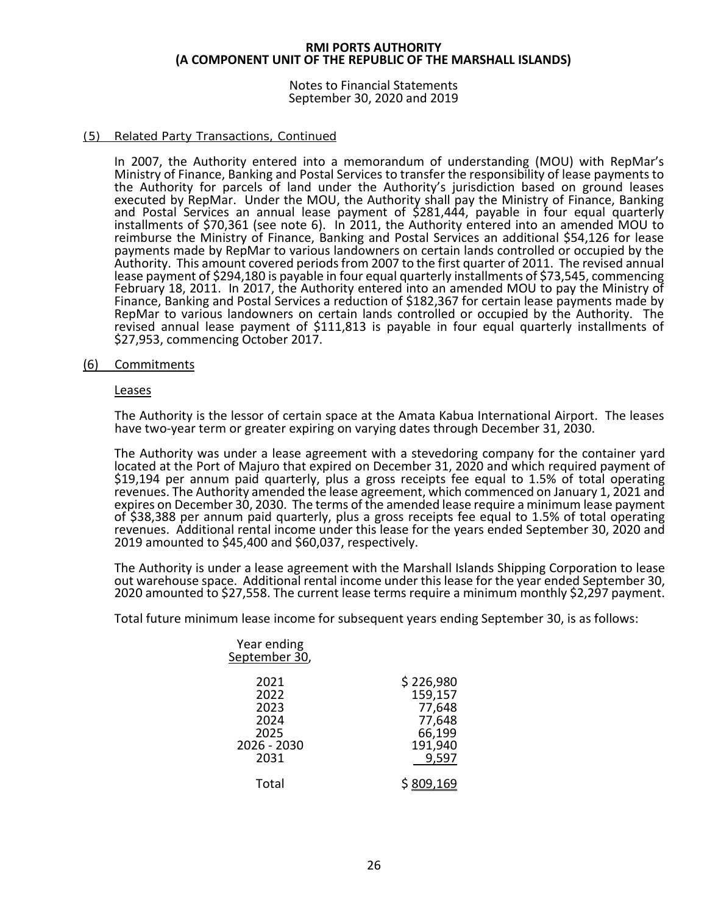#### Notes to Financial Statements September 30, 2020 and 2019

#### (5) Related Party Transactions, Continued

In 2007, the Authority entered into a memorandum of understanding (MOU) with RepMar's Ministry of Finance, Banking and Postal Services to transfer the responsibility of lease payments to the Authority for parcels of land under the Authority's jurisdiction based on ground leases executed by RepMar. Under the MOU, the Authority shall pay the Ministry of Finance, Banking and Postal Services an annual lease payment of \$281,444, payable in four equal quarterly installments of \$70,361 (see note 6). In 2011, the Authority entered into an amended MOU to reimburse the Ministry of Finance, Banking and Postal Services an additional \$54,126 for lease payments made by RepMar to various landowners on certain lands controlled or occupied by the Authority. This amount covered periods from 2007 to the first quarter of 2011. The revised annual lease payment of \$294,180 is payable in four equal quarterly installments of \$73,545, commencing February 18, 2011. In 2017, the Authority entered into an amended MOU to pay the Ministry of Finance, Banking and Postal Services a reduction of \$182,367 for certain lease payments made by RepMar to various landowners on certain lands controlled or occupied by the Authority. The revised annual lease payment of \$111,813 is payable in four equal quarterly installments of \$27,953, commencing October 2017.

#### (6) Commitments

#### Leases

The Authority is the lessor of certain space at the Amata Kabua International Airport. The leases have two-year term or greater expiring on varying dates through December 31, 2030.

The Authority was under a lease agreement with a stevedoring company for the container yard located at the Port of Majuro that expired on December 31, 2020 and which required payment of \$19,194 per annum paid quarterly, plus a gross receipts fee equal to 1.5% of total operating revenues. The Authority amended the lease agreement, which commenced on January 1, 2021 and expires on December 30, 2030. The terms of the amended lease require a minimum lease payment of \$38,388 per annum paid quarterly, plus a gross receipts fee equal to 1.5% of total operating revenues. Additional rental income under this lease for the years ended September 30, 2020 and 2019 amounted to \$45,400 and \$60,037, respectively.

The Authority is under a lease agreement with the Marshall Islands Shipping Corporation to lease out warehouse space. Additional rental income under this lease for the year ended September 30, 2020 amounted to \$27,558. The current lease terms require a minimum monthly \$2,297 payment.

Total future minimum lease income for subsequent years ending September 30, is as follows:

| Year ending<br>September 30,                                |                                                                        |
|-------------------------------------------------------------|------------------------------------------------------------------------|
| 2021<br>2022<br>2023<br>2024<br>2025<br>2026 - 2030<br>2031 | \$226,980<br>159,157<br>77,648<br>77,648<br>66,199<br>191,940<br>9,597 |
| Total                                                       | 809,169                                                                |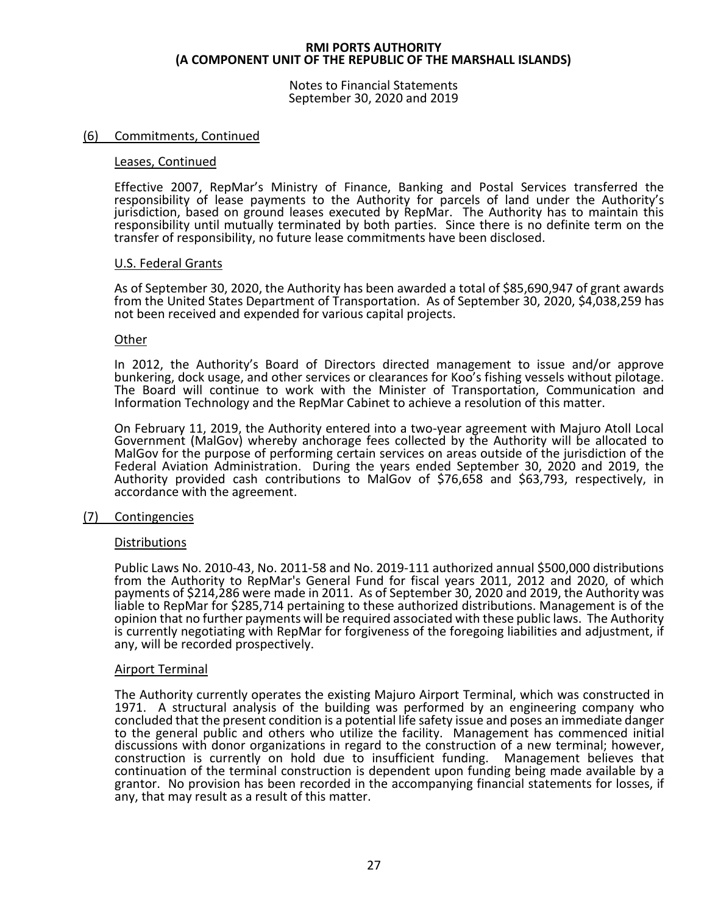Notes to Financial Statements September 30, 2020 and 2019

#### (6) Commitments, Continued

#### Leases, Continued

Effective 2007, RepMar's Ministry of Finance, Banking and Postal Services transferred the responsibility of lease payments to the Authority for parcels of land under the Authority's jurisdiction, based on ground leases executed by RepMar. The Authority has to maintain this responsibility until mutually terminated by both parties. Since there is no definite term on the transfer of responsibility, no future lease commitments have been disclosed.

#### U.S. Federal Grants

As of September 30, 2020, the Authority has been awarded a total of \$85,690,947 of grant awards from the United States Department of Transportation. As of September 30, 2020, \$4,038,259 has not been received and expended for various capital projects.

#### **Other**

In 2012, the Authority's Board of Directors directed management to issue and/or approve bunkering, dock usage, and other services or clearances for Koo's fishing vessels without pilotage. The Board will continue to work with the Minister of Transportation, Communication and Information Technology and the RepMar Cabinet to achieve a resolution of this matter.

On February 11, 2019, the Authority entered into a two-year agreement with Majuro Atoll Local Government (MalGov) whereby anchorage fees collected by the Authority will be allocated to MalGov for the purpose of performing certain services on areas outside of the jurisdiction of the Federal Aviation Administration. During the years ended September 30, 2020 and 2019, the Authority provided cash contributions to MalGov of \$76,658 and \$63,793, respectively, in accordance with the agreement.

#### (7) Contingencies

#### Distributions

Public Laws No. 2010-43, No. 2011-58 and No. 2019-111 authorized annual \$500,000 distributions from the Authority to RepMar's General Fund for fiscal years 2011, 2012 and 2020, of which liable to RepMar for \$285,714 pertaining to these authorized distributions. Management is of the opinion that no further payments will be required associated with these public laws. The Authority is currently negotiating with RepMar for forgiveness of the foregoing liabilities and adjustment, if any, will be recorded prospectively.

#### Airport Terminal

The Authority currently operates the existing Majuro Airport Terminal, which was constructed in 1971. A structural analysis of the building was performed by an engineering company who concluded that the present condition is a potential life safety issue and poses an immediate danger to the general public and others who utilize the facility. Management has commenced initial discussions with donor organizations in regard to the construction of a new terminal; however, construction is currently on hold due to insufficient funding. Management believes that continuation of the terminal construction is dependent upon funding being made available by a grantor. No provision has been recorded in the accompanying financial statements for losses, if any, that may result as a result of this matter.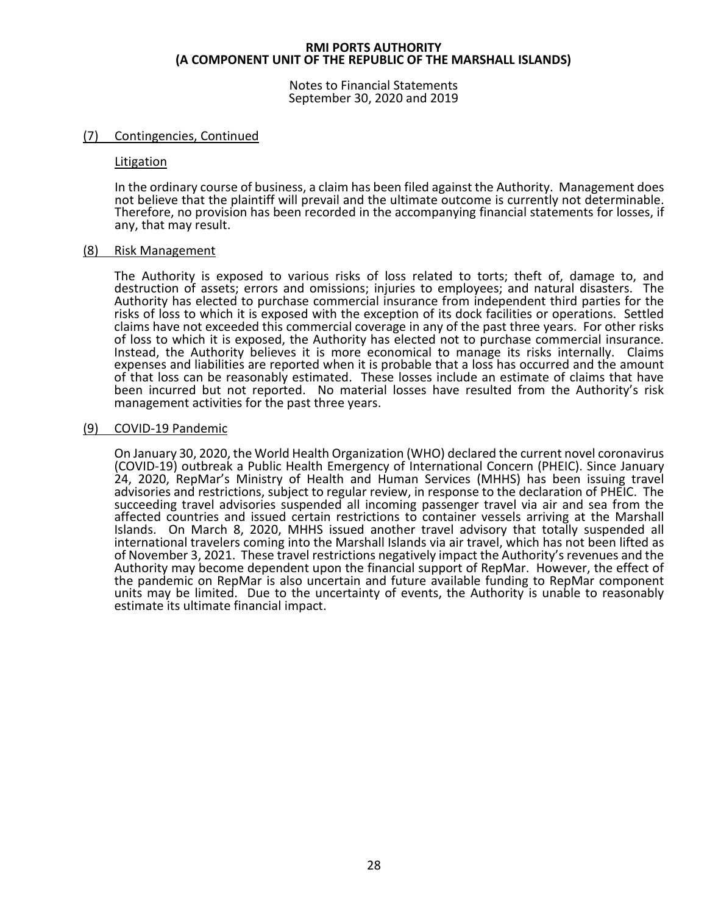Notes to Financial Statements September 30, 2020 and 2019

#### (7) Contingencies, Continued

#### Litigation

In the ordinary course of business, a claim has been filed against the Authority. Management does not believe that the plaintiff will prevail and the ultimate outcome is currently not determinable. Therefore, no provision has been recorded in the accompanying financial statements for losses, if any, that may result.

#### (8) Risk Management

The Authority is exposed to various risks of loss related to torts; theft of, damage to, and destruction of assets; errors and omissions; injuries to employees; and natural disasters. The Authority has elected to purchase commercial insurance from independent third parties for the risks of loss to which it is exposed with the exception of its dock facilities or operations. Settled claims have not exceeded this commercial coverage in any of the past three years. For other risks of loss to which it is exposed, the Authority has elected not to purchase commercial insurance. Instead, the Authority believes it is more economical to manage its risks internally. Claims expenses and liabilities are reported when it is probable that a loss has occurred and the amount of that loss can be reasonably estimated. These losses include an estimate of claims that have been incurred but not reported. No material losses have resulted from the Authority's risk management activities for the past three years.

#### (9) COVID-19 Pandemic

On January 30, 2020, the World Health Organization (WHO) declared the current novel coronavirus (COVID-19) outbreak a Public Health Emergency of International Concern (PHEIC). Since January 24, 2020, RepMar's Ministry of Health and Human Services (MHHS) has been issuing travel advisories and restrictions, subject to regular review, in response to the declaration of PHEIC. The succeeding travel advisories suspended all incoming passenger travel via air and sea from the affected countries and issued certain restrictions to container vessels arriving at the Marshall Islands. On March 8, 2020, MHHS issued another travel advisory that totally suspended all international travelers coming into the Marshall Islands via air travel, which has not been lifted as of November 3, 2021. These travel restrictions negatively impact the Authority's revenues and the Authority may become dependent upon the financial support of RepMar. However, the effect of the pandemic on RepMar is also uncertain and future available funding to RepMar component units may be limited. Due to the uncertainty of events, the Authority is unable to reasonably estimate its ultimate financial impact.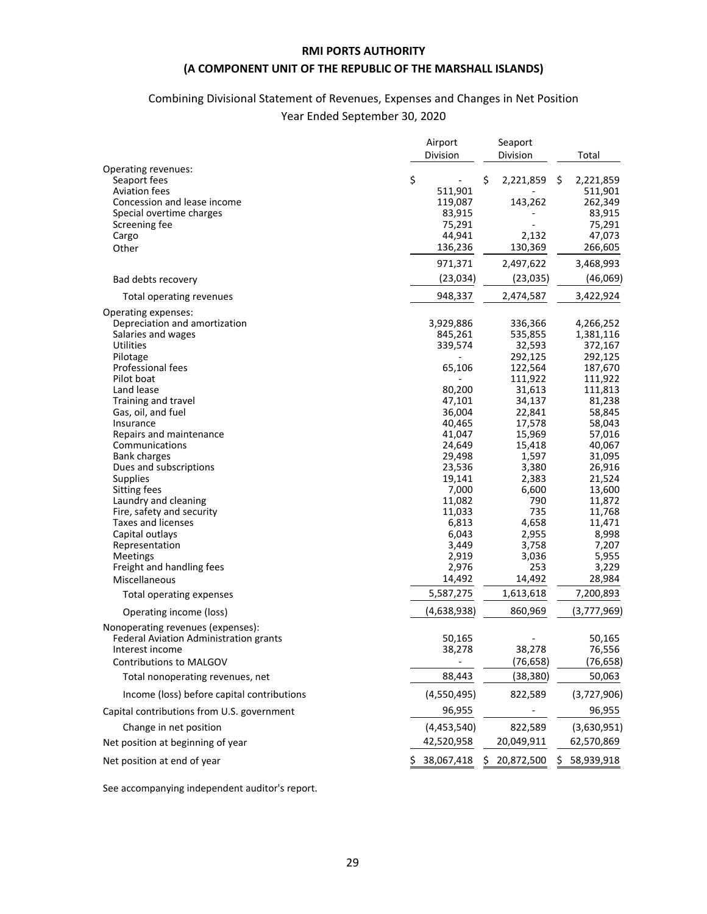# Combining Divisional Statement of Revenues, Expenses and Changes in Net Position Year Ended September 30, 2020

|                                               | Airport          | Seaport          |    |                |
|-----------------------------------------------|------------------|------------------|----|----------------|
|                                               | Division         | Division         |    | Total          |
| Operating revenues:                           |                  |                  |    |                |
| Seaport fees                                  | \$               | \$<br>2,221,859  | \$ | 2,221,859      |
| <b>Aviation fees</b>                          | 511,901          |                  |    | 511,901        |
| Concession and lease income                   | 119,087          | 143,262          |    | 262,349        |
| Special overtime charges                      | 83,915           |                  |    | 83,915         |
| Screening fee                                 | 75,291           |                  |    | 75,291         |
| Cargo                                         | 44,941           | 2,132            |    | 47,073         |
| Other                                         | 136,236          | 130,369          |    | 266,605        |
|                                               | 971,371          | 2,497,622        |    | 3,468,993      |
| Bad debts recovery                            | (23, 034)        | (23, 035)        |    | (46,069)       |
| Total operating revenues                      | 948,337          | 2,474,587        |    | 3,422,924      |
| Operating expenses:                           |                  |                  |    |                |
| Depreciation and amortization                 | 3,929,886        | 336,366          |    | 4,266,252      |
| Salaries and wages                            | 845,261          | 535,855          |    | 1,381,116      |
| Utilities                                     | 339,574          | 32,593           |    | 372,167        |
| Pilotage                                      |                  | 292,125          |    | 292,125        |
| Professional fees                             | 65,106           | 122,564          |    | 187,670        |
| Pilot boat                                    |                  | 111,922          |    | 111,922        |
| Land lease                                    | 80,200           | 31,613           |    | 111,813        |
| Training and travel                           | 47,101           | 34,137           |    | 81,238         |
| Gas, oil, and fuel                            | 36,004           | 22,841           |    | 58,845         |
| Insurance                                     | 40,465           | 17,578           |    | 58,043         |
| Repairs and maintenance                       | 41,047           | 15,969           |    | 57,016         |
| Communications                                | 24,649           | 15,418           |    | 40,067         |
| <b>Bank charges</b>                           | 29,498           | 1,597            |    | 31,095         |
| Dues and subscriptions                        | 23,536           | 3,380            |    | 26,916         |
| <b>Supplies</b>                               | 19,141           | 2,383            |    | 21,524         |
| Sitting fees                                  | 7,000            | 6,600            |    | 13,600         |
| Laundry and cleaning                          | 11,082           | 790              |    | 11,872         |
| Fire, safety and security                     | 11,033           | 735<br>4,658     |    | 11,768         |
| Taxes and licenses                            | 6,813            |                  |    | 11,471         |
| Capital outlays                               | 6,043            | 2,955            |    | 8,998          |
| Representation<br><b>Meetings</b>             | 3,449<br>2,919   | 3,758<br>3,036   |    | 7,207<br>5,955 |
| Freight and handling fees                     | 2,976            | 253              |    | 3,229          |
| Miscellaneous                                 | 14,492           | 14,492           |    | 28,984         |
|                                               | 5,587,275        | 1,613,618        |    | 7,200,893      |
| Total operating expenses                      |                  |                  |    |                |
| Operating income (loss)                       | (4,638,938)      | 860,969          |    | (3,777,969)    |
| Nonoperating revenues (expenses):             |                  |                  |    |                |
| <b>Federal Aviation Administration grants</b> | 50,165           |                  |    | 50,165         |
| Interest income                               | 38,278           | 38,278           |    | 76,556         |
| Contributions to MALGOV                       |                  | (76, 658)        |    | (76, 658)      |
| Total nonoperating revenues, net              | 88,443           | (38, 380)        |    | 50,063         |
| Income (loss) before capital contributions    | (4,550,495)      | 822,589          |    | (3,727,906)    |
| Capital contributions from U.S. government    | 96,955           |                  |    | 96,955         |
| Change in net position                        | (4,453,540)      | 822,589          |    | (3,630,951)    |
| Net position at beginning of year             | 42,520,958       | 20,049,911       |    | 62,570,869     |
| Net position at end of year                   | \$<br>38,067,418 | \$<br>20,872,500 | Ş  | 58,939,918     |

See accompanying independent auditor's report.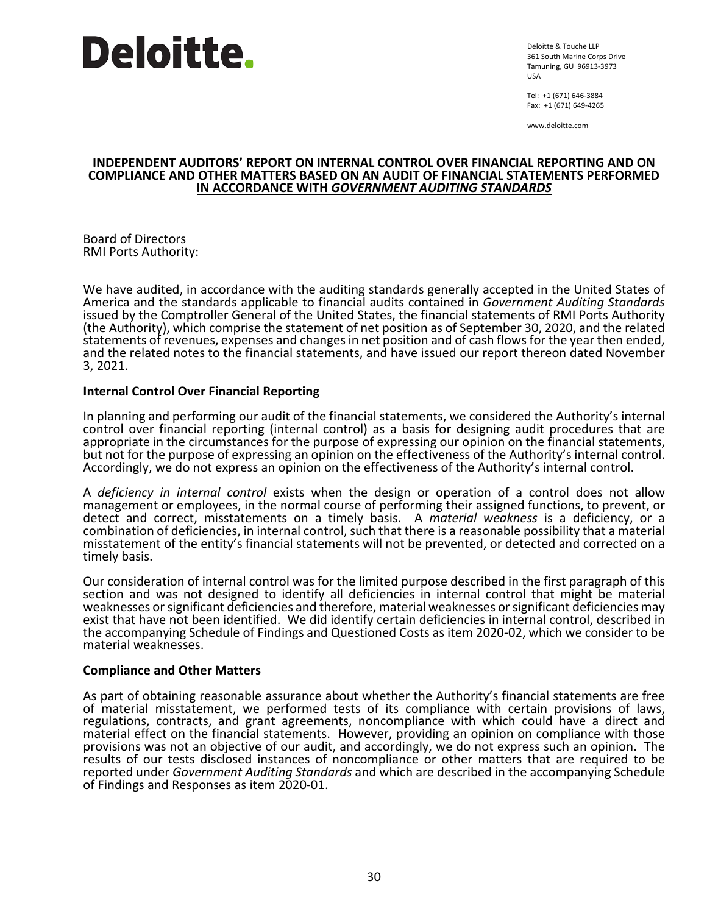

Deloitte & Touche LLP 361 South Marine Corps Drive Tamuning, GU 96913-3973 USA

Tel: +1 (671) 646-3884 Fax: +1 (671) 649-4265

www.deloitte.com

#### **INDEPENDENT AUDITORS' REPORT ON INTERNAL CONTROL OVER FINANCIAL REPORTING AND ON COMPLIANCE AND OTHER MATTERS BASED ON AN AUDIT OF FINANCIAL STATEMENTS PERFORMED IN ACCORDANCE WITH** *GOVERNMENT AUDITING STANDARDS*

Board of Directors RMI Ports Authority:

We have audited, in accordance with the auditing standards generally accepted in the United States of America and the standards applicable to financial audits contained in *Government Auditing Standards* issued by the Comptroller General of the United States, the financial statements of RMI Ports Authority (the Authority), which comprise the statement of net position as of September 30, 2020, and the related statements of revenues, expenses and changes in net position and of cash flows for the year then ended, and the related notes to the financial statements, and have issued our report thereon dated November 3, 2021.

#### **Internal Control Over Financial Reporting**

In planning and performing our audit of the financial statements, we considered the Authority's internal control over financial reporting (internal control) as a basis for designing audit procedures that are appropriate in the circumstances for the purpose of expressing our opinion on the financial statements, but not for the purpose of expressing an opinion on the effectiveness of the Authority's internal control. Accordingly, we do not express an opinion on the effectiveness of the Authority's internal control.

A *deficiency in internal control* exists when the design or operation of a control does not allow management or employees, in the normal course of performing their assigned functions, to prevent, or detect and correct, misstatements on a timely basis. A *material weakness* is a deficiency, or a combination of deficiencies, in internal control, such that there is a reasonable possibility that a material misstatement of the entity's financial statements will not be prevented, or detected and corrected on a timely basis.

Our consideration of internal control was for the limited purpose described in the first paragraph of this section and was not designed to identify all deficiencies in internal control that might be material weaknesses or significant deficiencies and therefore, material weaknesses or significant deficiencies may exist that have not been identified. We did identify certain deficiencies in internal control, described in the accompanying Schedule of Findings and Questioned Costs as item 2020-02, which we consider to be material weaknesses.

#### **Compliance and Other Matters**

As part of obtaining reasonable assurance about whether the Authority's financial statements are free of material misstatement, we performed tests of its compliance with certain provisions of laws, regulations, contracts, and grant agreements, noncompliance with which could have a direct and material effect on the financial statements. However, providing an opinion on compliance with those provisions was not an objective of our audit, and accordingly, we do not express such an opinion. The results of our tests disclosed instances of noncompliance or other matters that are required to be reported under *Government Auditing Standards* and which are described in the accompanying Schedule of Findings and Responses as item 2020-01.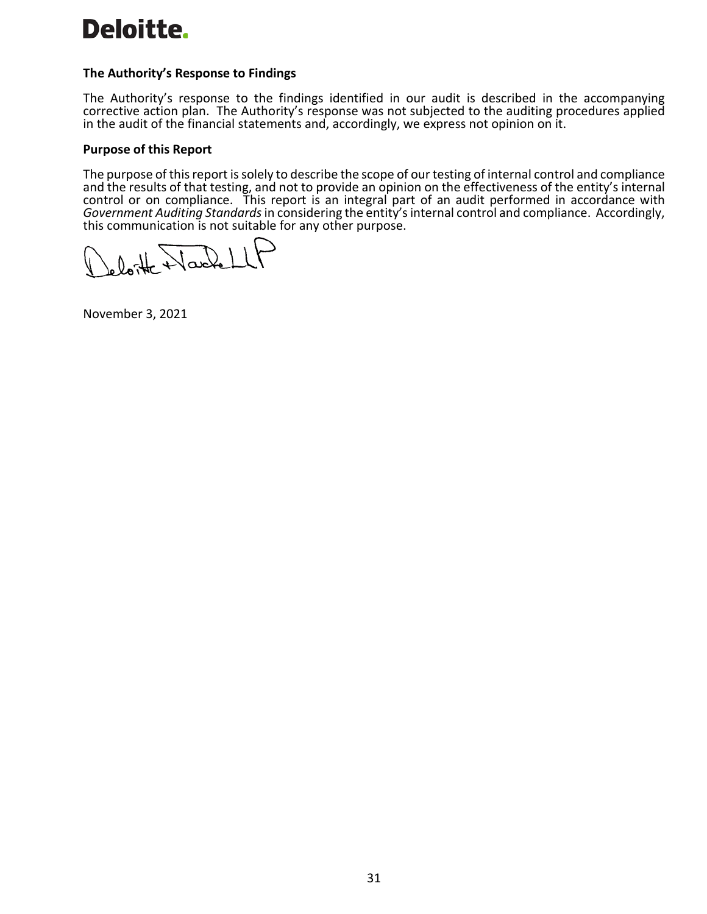# **Deloitte.**

## **The Authority's Response to Findings**

The Authority's response to the findings identified in our audit is described in the accompanying corrective action plan. The Authority's response was not subjected to the auditing procedures applied in the audit of the financial statements and, accordingly, we express not opinion on it.

#### **Purpose of this Report**

The purpose of this report is solely to describe the scope of our testing of internal control and compliance and the results of that testing, and not to provide an opinion on the effectiveness of the entity's internal control or on compliance. This report is an integral part of an audit performed in accordance with *Government Auditing Standards* in considering the entity's internal control and compliance. Accordingly, this communication is not suitable for any other purpose.

eloith Wackell

November 3, 2021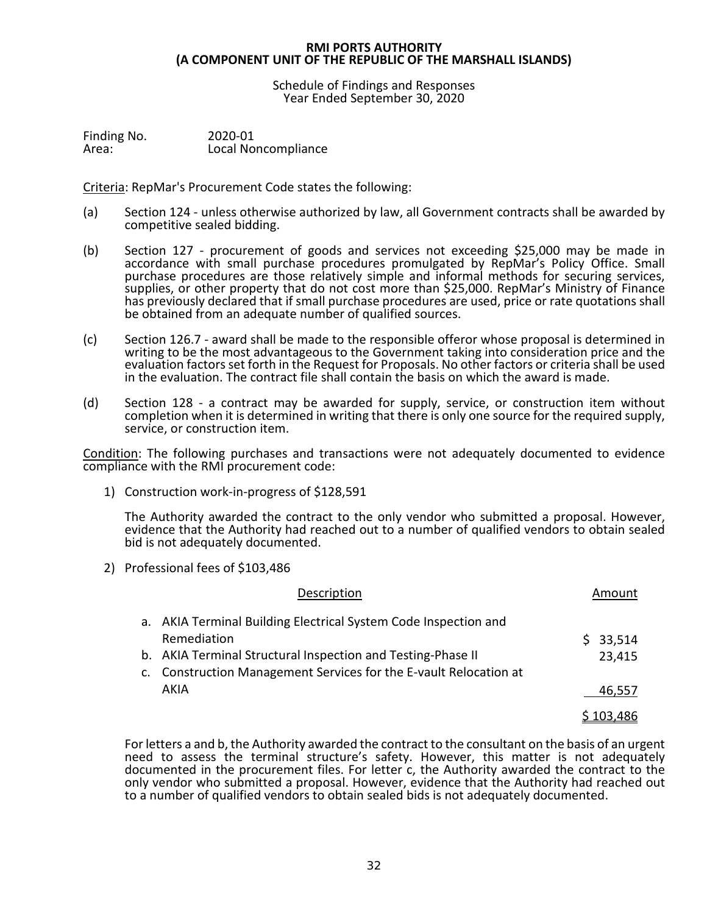Schedule of Findings and Responses Year Ended September 30, 2020

Finding No. 2020-01<br>Area: Local No Local Noncompliance

Criteria: RepMar's Procurement Code states the following:

- (a) Section 124 unless otherwise authorized by law, all Government contracts shall be awarded by competitive sealed bidding.
- (b) Section 127 procurement of goods and services not exceeding \$25,000 may be made in accordance with small purchase procedures promulgated by RepMar's Policy Office. Small purchase procedures are those relatively simple and informal methods for securing services, supplies, or other property that do not cost more than \$25,000. RepMar's Ministry of Finance has previously declared that if small purchase procedures are used, price or rate quotations shall be obtained from an adequate number of qualified sources.
- (c) Section 126.7 award shall be made to the responsible offeror whose proposal is determined in writing to be the most advantageous to the Government taking into consideration price and the evaluation factors set forth in the Request for Proposals. No other factors or criteria shall be used in the evaluation. The contract file shall contain the basis on which the award is made.
- (d) Section 128 a contract may be awarded for supply, service, or construction item without completion when it is determined in writing that there is only one source for the required supply, service, or construction item.

Condition: The following purchases and transactions were not adequately documented to evidence compliance with the RMI procurement code:

1) Construction work-in-progress of \$128,591

The Authority awarded the contract to the only vendor who submitted a proposal. However, evidence that the Authority had reached out to a number of qualified vendors to obtain sealed bid is not adequately documented.

2) Professional fees of \$103,486

|  | Description                                                       | Amount     |
|--|-------------------------------------------------------------------|------------|
|  | a. AKIA Terminal Building Electrical System Code Inspection and   |            |
|  | Remediation                                                       | \$33,514   |
|  | b. AKIA Terminal Structural Inspection and Testing-Phase II       | 23,415     |
|  | c. Construction Management Services for the E-vault Relocation at |            |
|  | <b>AKIA</b>                                                       | 46,557     |
|  |                                                                   | \$ 103,486 |

For letters a and b, the Authority awarded the contract to the consultant on the basis of an urgent need to assess the terminal structure's safety. However, this matter is not adequately documented in the procurement files. For letter c, the Authority awarded the contract to the only vendor who submitted a proposal. However, evidence that the Authority had reached out to a number of qualified vendors to obtain sealed bids is not adequately documented.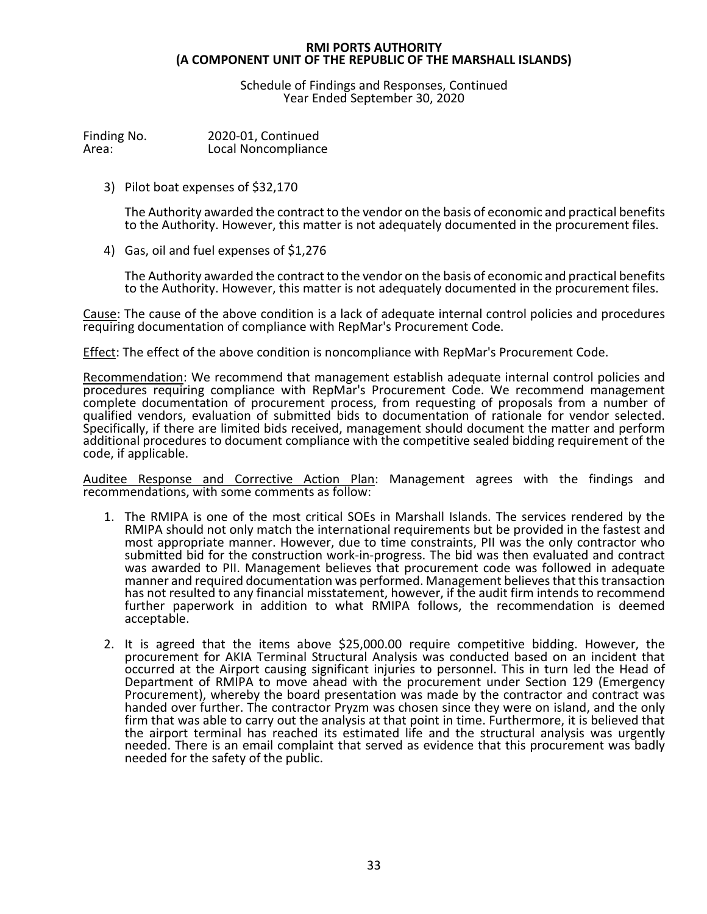Schedule of Findings and Responses, Continued Year Ended September 30, 2020

Finding No. 2020-01, Continued Local Noncompliance

3) Pilot boat expenses of \$32,170

The Authority awarded the contract to the vendor on the basis of economic and practical benefits to the Authority. However, this matter is not adequately documented in the procurement files.

4) Gas, oil and fuel expenses of \$1,276

The Authority awarded the contract to the vendor on the basis of economic and practical benefits to the Authority. However, this matter is not adequately documented in the procurement files.

Cause: The cause of the above condition is a lack of adequate internal control policies and procedures requiring documentation of compliance with RepMar's Procurement Code.

Effect: The effect of the above condition is noncompliance with RepMar's Procurement Code.

Recommendation: We recommend that management establish adequate internal control policies and procedures requiring compliance with RepMar's Procurement Code. We recommend management complete documentation of procurement process, from requesting of proposals from a number of qualified vendors, evaluation of submitted bids to documentation of rationale for vendor selected. Specifically, if there are limited bids received, management should document the matter and perform additional procedures to document compliance with the competitive sealed bidding requirement of the code, if applicable.

Auditee Response and Corrective Action Plan: Management agrees with the findings and recommendations, with some comments as follow:

- 1. The RMIPA is one of the most critical SOEs in Marshall Islands. The services rendered by the RMIPA should not only match the international requirements but be provided in the fastest and most appropriate manner. However, due to time constraints, PII was the only contractor who submitted bid for the construction work-in-progress. The bid was then evaluated and contract was awarded to PII. Management believes that procurement code was followed in adequate manner and required documentation was performed. Management believes that this transaction has not resulted to any financial misstatement, however, if the audit firm intends to recommend further paperwork in addition to what RMIPA follows, the recommendation is deemed acceptable.
- 2. It is agreed that the items above \$25,000.00 require competitive bidding. However, the procurement for AKIA Terminal Structural Analysis was conducted based on an incident that occurred at the Airport causing significant injuries to personnel. This in turn led the Head of Department of RMIPA to move ahead with the procurement under Section 129 (Emergency Procurement), whereby the board presentation was made by the contractor and contract was handed over further. The contractor Pryzm was chosen since they were on island, and the only firm that was able to carry out the analysis at that point in time. Furthermore, it is believed that the airport terminal has reached its estimated life and the structural analysis was urgently needed. There is an email complaint that served as evidence that this procurement was badly needed for the safety of the public.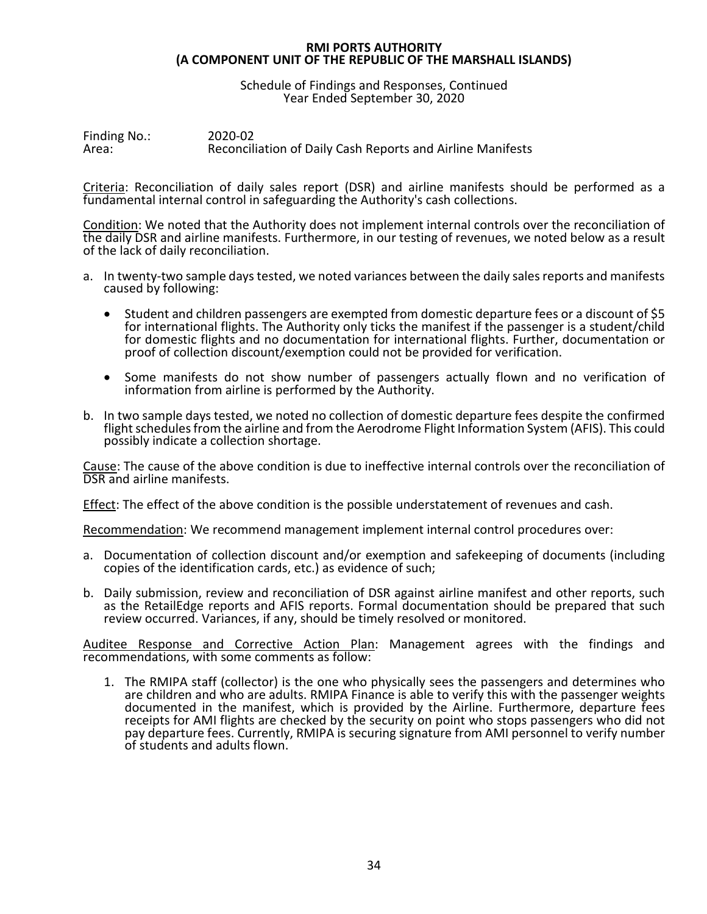Schedule of Findings and Responses, Continued Year Ended September 30, 2020

#### Finding No.: 2020-02<br>Area: Reconcil Reconciliation of Daily Cash Reports and Airline Manifests

Criteria: Reconciliation of daily sales report (DSR) and airline manifests should be performed as a fundamental internal control in safeguarding the Authority's cash collections.

Condition: We noted that the Authority does not implement internal controls over the reconciliation of the daily DSR and airline manifests. Furthermore, in our testing of revenues, we noted below as a result of the lack of daily reconciliation.

- a. In twenty-two sample days tested, we noted variances between the daily sales reports and manifests caused by following:
	- Student and children passengers are exempted from domestic departure fees or a discount of \$5 for international flights. The Authority only ticks the manifest if the passenger is a student/child for domestic flights and no documentation for international flights. Further, documentation or proof of collection discount/exemption could not be provided for verification.
	- Some manifests do not show number of passengers actually flown and no verification of information from airline is performed by the Authority.
- b. In two sample days tested, we noted no collection of domestic departure fees despite the confirmed flight schedules from the airline and from the Aerodrome Flight Information System (AFIS). This could possibly indicate a collection shortage.

Cause: The cause of the above condition is due to ineffective internal controls over the reconciliation of DSR and airline manifests.

Effect: The effect of the above condition is the possible understatement of revenues and cash.

Recommendation: We recommend management implement internal control procedures over:

- a. Documentation of collection discount and/or exemption and safekeeping of documents (including copies of the identification cards, etc.) as evidence of such;
- b. Daily submission, review and reconciliation of DSR against airline manifest and other reports, such as the RetailEdge reports and AFIS reports. Formal documentation should be prepared that such review occurred. Variances, if any, should be timely resolved or monitored.

Auditee Response and Corrective Action Plan: Management agrees with the findings and recommendations, with some comments as follow:

1. The RMIPA staff (collector) is the one who physically sees the passengers and determines who are children and who are adults. RMIPA Finance is able to verify this with the passenger weights documented in the manifest, which is provided by the Airline. Furthermore, departure fees receipts for AMI flights are checked by the security on point who stops passengers who did not pay departure fees. Currently, RMIPA is securing signature from AMI personnel to verify number of students and adults flown.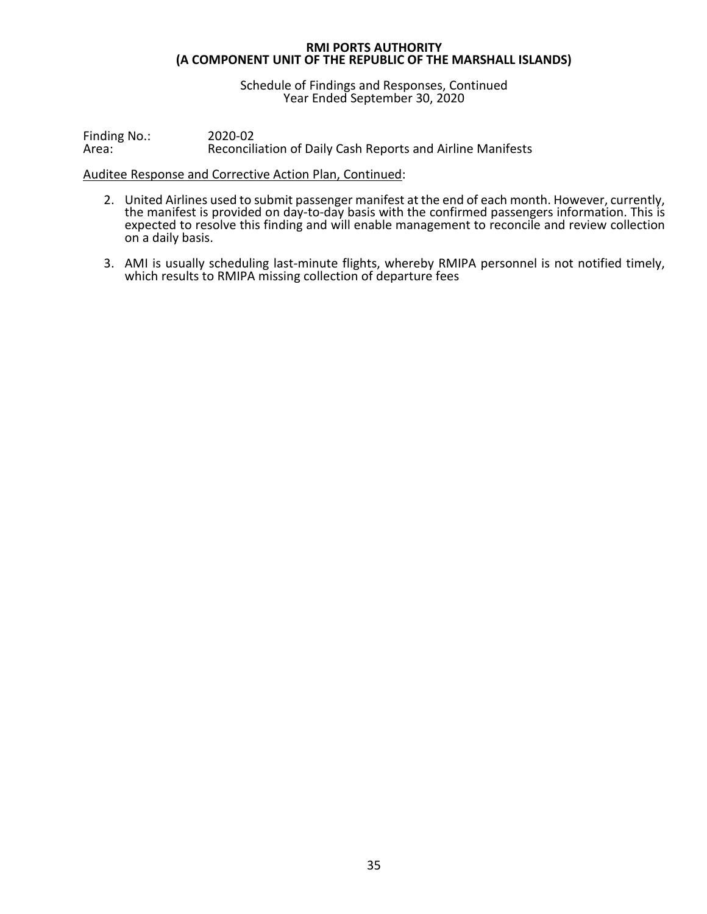Schedule of Findings and Responses, Continued Year Ended September 30, 2020

Finding No.: 2020-02<br>Area: Reconcil Reconciliation of Daily Cash Reports and Airline Manifests

#### Auditee Response and Corrective Action Plan, Continued:

- 2. United Airlines used to submit passenger manifest at the end of each month. However, currently, the manifest is provided on day-to-day basis with the confirmed passengers information. This is expected to resolve this finding and will enable management to reconcile and review collection on a daily basis.
- 3. AMI is usually scheduling last-minute flights, whereby RMIPA personnel is not notified timely, which results to RMIPA missing collection of departure fees